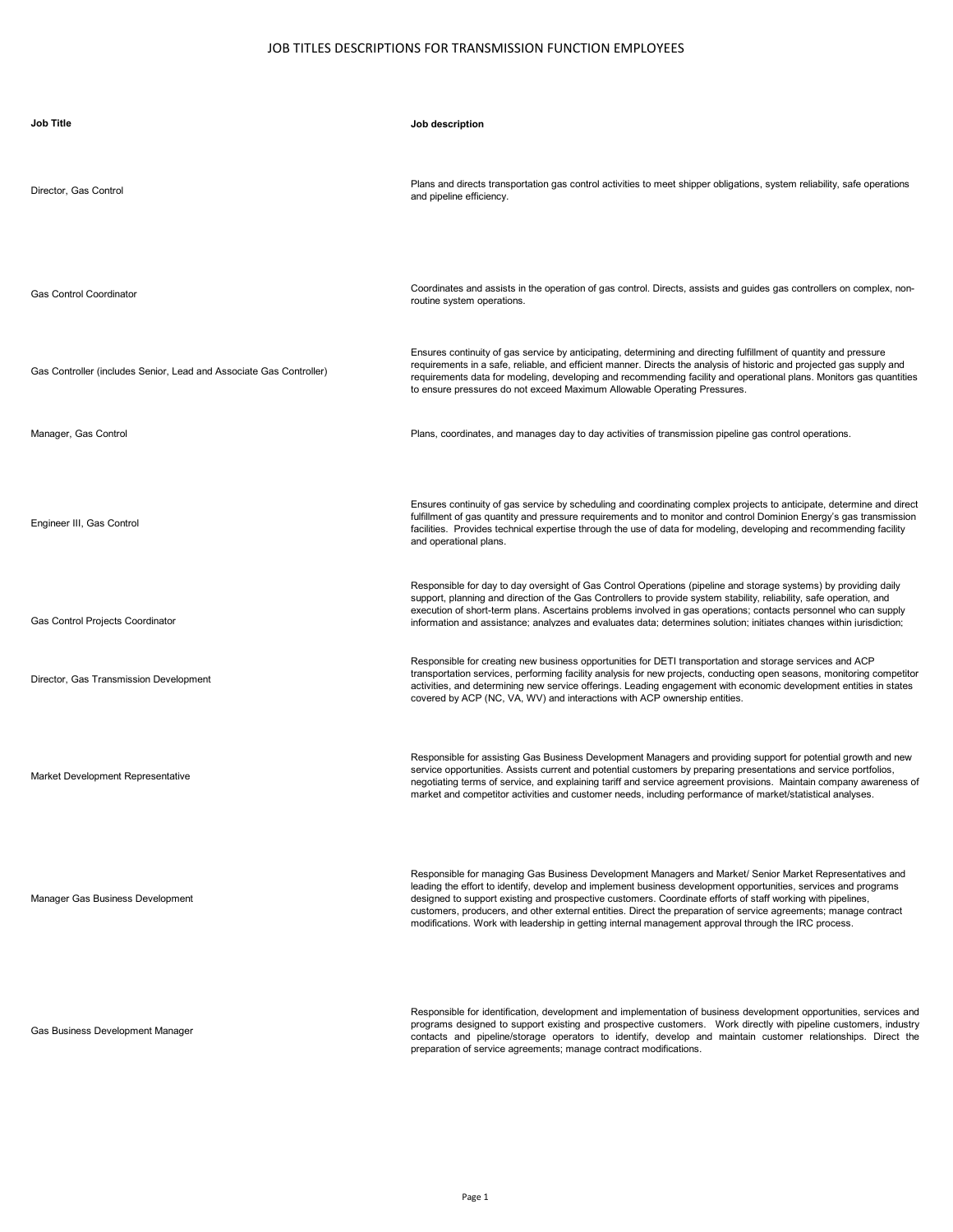| <b>Job Title</b>                                                    | Job description                                                                                                                                                                                                                                                                                                                                                                                                                                                                                                                                                        |
|---------------------------------------------------------------------|------------------------------------------------------------------------------------------------------------------------------------------------------------------------------------------------------------------------------------------------------------------------------------------------------------------------------------------------------------------------------------------------------------------------------------------------------------------------------------------------------------------------------------------------------------------------|
| Director, Gas Control                                               | Plans and directs transportation gas control activities to meet shipper obligations, system reliability, safe operations<br>and pipeline efficiency.                                                                                                                                                                                                                                                                                                                                                                                                                   |
| <b>Gas Control Coordinator</b>                                      | Coordinates and assists in the operation of gas control. Directs, assists and guides gas controllers on complex, non-<br>routine system operations.                                                                                                                                                                                                                                                                                                                                                                                                                    |
| Gas Controller (includes Senior, Lead and Associate Gas Controller) | Ensures continuity of gas service by anticipating, determining and directing fulfillment of quantity and pressure<br>requirements in a safe, reliable, and efficient manner. Directs the analysis of historic and projected gas supply and<br>requirements data for modeling, developing and recommending facility and operational plans. Monitors gas quantities<br>to ensure pressures do not exceed Maximum Allowable Operating Pressures.                                                                                                                          |
| Manager, Gas Control                                                | Plans, coordinates, and manages day to day activities of transmission pipeline gas control operations.                                                                                                                                                                                                                                                                                                                                                                                                                                                                 |
| Engineer III, Gas Control                                           | Ensures continuity of gas service by scheduling and coordinating complex projects to anticipate, determine and direct<br>fulfillment of gas quantity and pressure requirements and to monitor and control Dominion Energy's gas transmission<br>facilities. Provides technical expertise through the use of data for modeling, developing and recommending facility<br>and operational plans.                                                                                                                                                                          |
| Gas Control Projects Coordinator                                    | Responsible for day to day oversight of Gas Control Operations (pipeline and storage systems) by providing daily<br>support, planning and direction of the Gas Controllers to provide system stability, reliability, safe operation, and<br>execution of short-term plans. Ascertains problems involved in gas operations; contacts personnel who can supply<br>information and assistance: analyzes and evaluates data: determines solution: initiates changes within iurisdiction:                                                                                   |
| Director, Gas Transmission Development                              | Responsible for creating new business opportunities for DETI transportation and storage services and ACP<br>transportation services, performing facility analysis for new projects, conducting open seasons, monitoring competitor<br>activities, and determining new service offerings. Leading engagement with economic development entities in states<br>covered by ACP (NC, VA, WV) and interactions with ACP ownership entities.                                                                                                                                  |
| Market Development Representative                                   | Responsible for assisting Gas Business Development Managers and providing support for potential growth and new<br>service opportunities. Assists current and potential customers by preparing presentations and service portfolios,<br>negotiating terms of service, and explaining tariff and service agreement provisions. Maintain company awareness of<br>market and competitor activities and customer needs, including performance of market/statistical analyses.                                                                                               |
| Manager Gas Business Development                                    | Responsible for managing Gas Business Development Managers and Market/ Senior Market Representatives and<br>leading the effort to identify, develop and implement business development opportunities, services and programs<br>designed to support existing and prospective customers. Coordinate efforts of staff working with pipelines,<br>customers, producers, and other external entities. Direct the preparation of service agreements; manage contract<br>modifications. Work with leadership in getting internal management approval through the IRC process. |
| Gas Business Development Manager                                    | Responsible for identification, development and implementation of business development opportunities, services and<br>programs designed to support existing and prospective customers. Work directly with pipeline customers, industry<br>contacts and nineline/sterage energters to identify develop and maintain everyoner relationships. Direct the                                                                                                                                                                                                                 |

programs designed to support existing and prospective customers. Work directly with pipeline customers, industry<br>contacts and pipeline/storage operators to identify, develop and maintain customer relationships.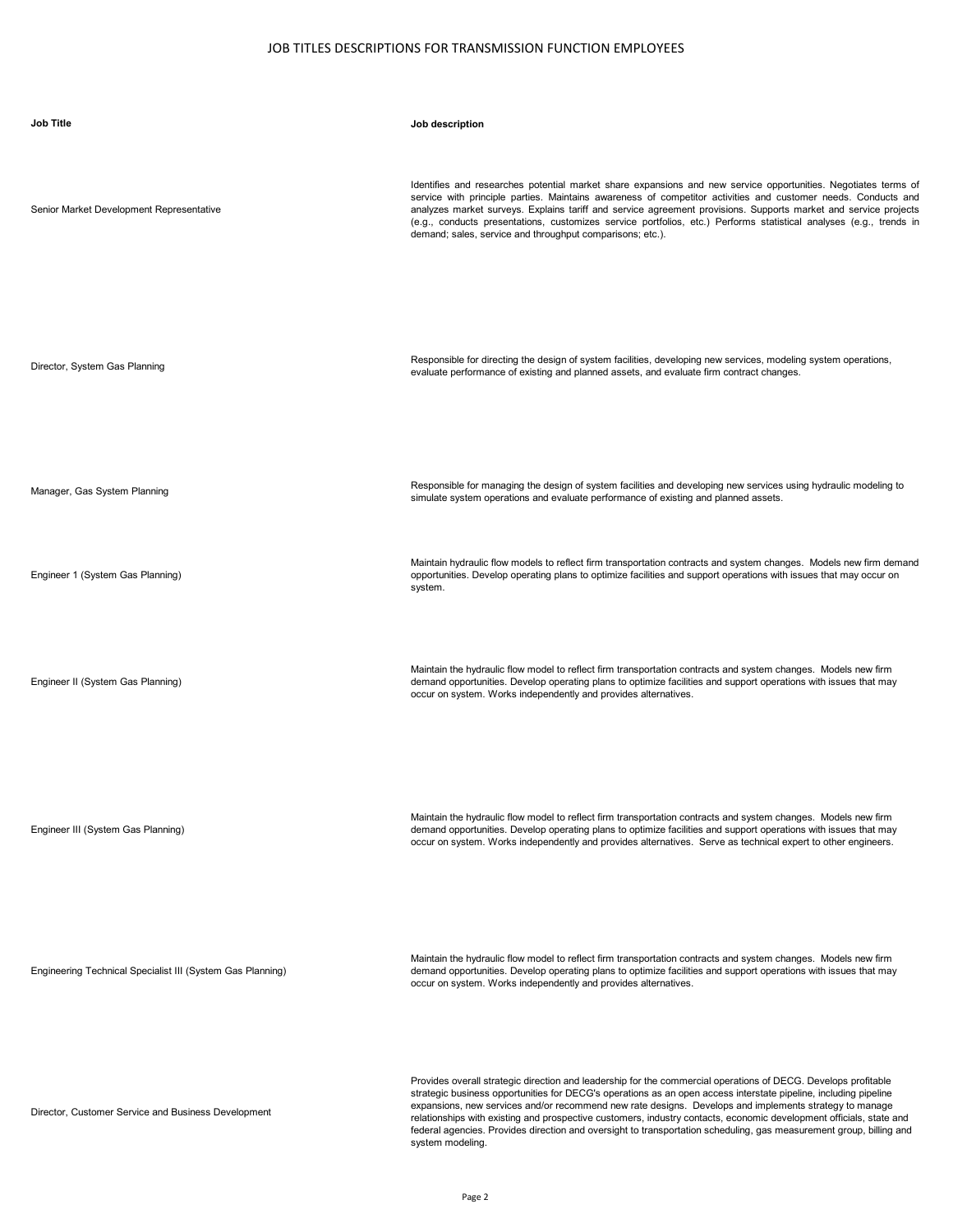| <b>Job Title</b>                                           | Job description                                                                                                                                                                                                                                                                                                                                                                                                                                                                                                                                                                                                |
|------------------------------------------------------------|----------------------------------------------------------------------------------------------------------------------------------------------------------------------------------------------------------------------------------------------------------------------------------------------------------------------------------------------------------------------------------------------------------------------------------------------------------------------------------------------------------------------------------------------------------------------------------------------------------------|
| Senior Market Development Representative                   | Identifies and researches potential market share expansions and new service opportunities. Negotiates terms of<br>service with principle parties. Maintains awareness of competitor activities and customer needs. Conducts and<br>analyzes market surveys. Explains tariff and service agreement provisions. Supports market and service projects<br>(e.g., conducts presentations, customizes service portfolios, etc.) Performs statistical analyses (e.g., trends in<br>demand; sales, service and throughput comparisons; etc.).                                                                          |
| Director, System Gas Planning                              | Responsible for directing the design of system facilities, developing new services, modeling system operations,<br>evaluate performance of existing and planned assets, and evaluate firm contract changes.                                                                                                                                                                                                                                                                                                                                                                                                    |
| Manager, Gas System Planning                               | Responsible for managing the design of system facilities and developing new services using hydraulic modeling to<br>simulate system operations and evaluate performance of existing and planned assets.                                                                                                                                                                                                                                                                                                                                                                                                        |
| Engineer 1 (System Gas Planning)                           | Maintain hydraulic flow models to reflect firm transportation contracts and system changes. Models new firm demand<br>opportunities. Develop operating plans to optimize facilities and support operations with issues that may occur on<br>system.                                                                                                                                                                                                                                                                                                                                                            |
| Engineer II (System Gas Planning)                          | Maintain the hydraulic flow model to reflect firm transportation contracts and system changes. Models new firm<br>demand opportunities. Develop operating plans to optimize facilities and support operations with issues that may<br>occur on system. Works independently and provides alternatives.                                                                                                                                                                                                                                                                                                          |
| Engineer III (System Gas Planning)                         | Maintain the hydraulic flow model to reflect firm transportation contracts and system changes. Models new firm<br>demand opportunities. Develop operating plans to optimize facilities and support operations with issues that may<br>occur on system. Works independently and provides alternatives. Serve as technical expert to other engineers.                                                                                                                                                                                                                                                            |
| Engineering Technical Specialist III (System Gas Planning) | Maintain the hydraulic flow model to reflect firm transportation contracts and system changes. Models new firm<br>demand opportunities. Develop operating plans to optimize facilities and support operations with issues that may<br>occur on system. Works independently and provides alternatives.                                                                                                                                                                                                                                                                                                          |
| Director, Customer Service and Business Development        | Provides overall strategic direction and leadership for the commercial operations of DECG. Develops profitable<br>strategic business opportunities for DECG's operations as an open access interstate pipeline, including pipeline<br>expansions, new services and/or recommend new rate designs. Develops and implements strategy to manage<br>relationships with existing and prospective customers, industry contacts, economic development officials, state and<br>federal agencies. Provides direction and oversight to transportation scheduling, gas measurement group, billing and<br>system modeling. |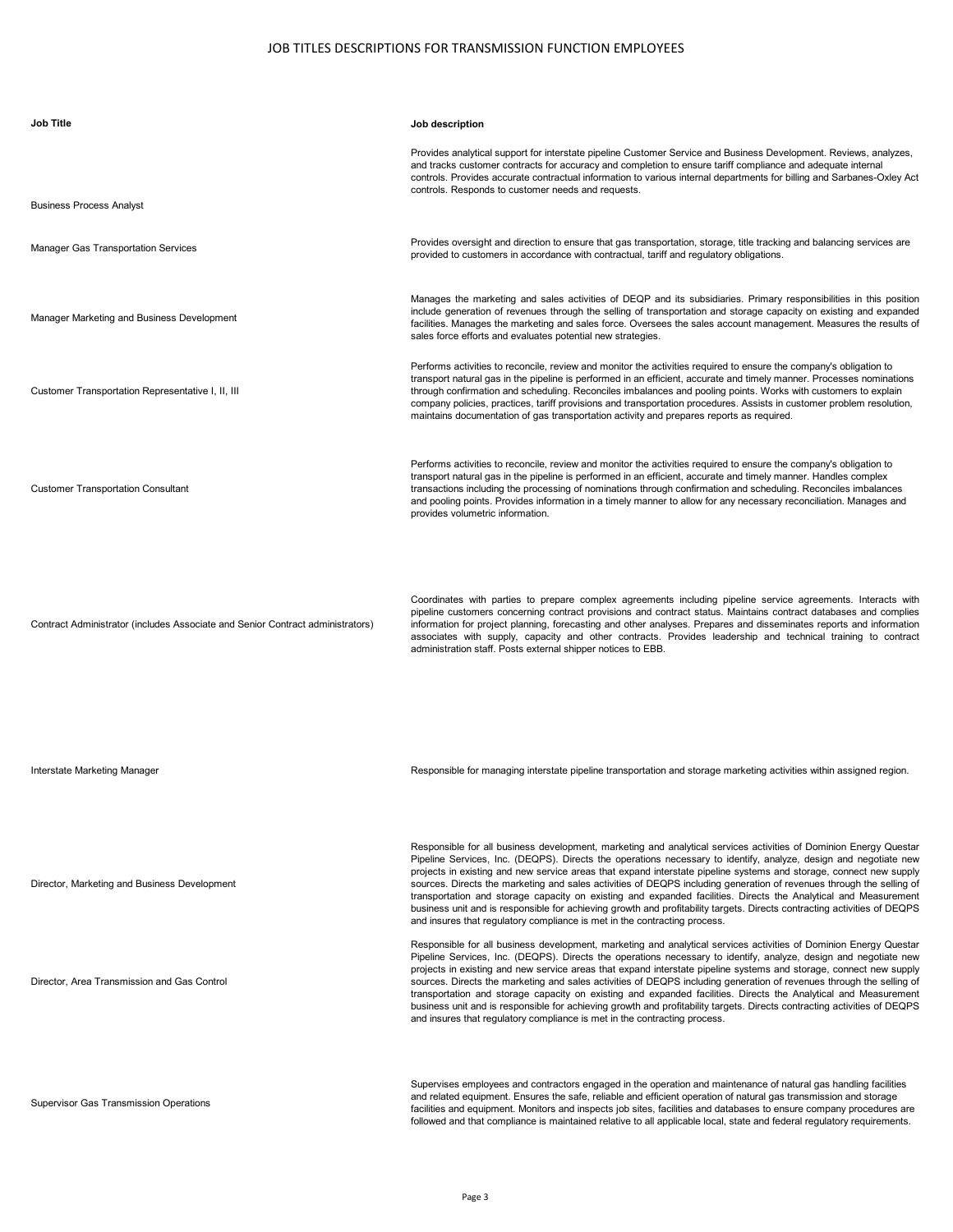| <b>Job Title</b>                                                               | Job description                                                                                                                                                                                                                                                                                                                                                                                                                                                                                                                                                                                                                                                                                                                                                                                                 |
|--------------------------------------------------------------------------------|-----------------------------------------------------------------------------------------------------------------------------------------------------------------------------------------------------------------------------------------------------------------------------------------------------------------------------------------------------------------------------------------------------------------------------------------------------------------------------------------------------------------------------------------------------------------------------------------------------------------------------------------------------------------------------------------------------------------------------------------------------------------------------------------------------------------|
|                                                                                | Provides analytical support for interstate pipeline Customer Service and Business Development. Reviews, analyzes,<br>and tracks customer contracts for accuracy and completion to ensure tariff compliance and adequate internal<br>controls. Provides accurate contractual information to various internal departments for billing and Sarbanes-Oxley Act<br>controls. Responds to customer needs and requests.                                                                                                                                                                                                                                                                                                                                                                                                |
| <b>Business Process Analyst</b>                                                |                                                                                                                                                                                                                                                                                                                                                                                                                                                                                                                                                                                                                                                                                                                                                                                                                 |
| <b>Manager Gas Transportation Services</b>                                     | Provides oversight and direction to ensure that gas transportation, storage, title tracking and balancing services are<br>provided to customers in accordance with contractual, tariff and regulatory obligations.                                                                                                                                                                                                                                                                                                                                                                                                                                                                                                                                                                                              |
| Manager Marketing and Business Development                                     | Manages the marketing and sales activities of DEQP and its subsidiaries. Primary responsibilities in this position<br>include generation of revenues through the selling of transportation and storage capacity on existing and expanded<br>facilities. Manages the marketing and sales force. Oversees the sales account management. Measures the results of<br>sales force efforts and evaluates potential new strategies.                                                                                                                                                                                                                                                                                                                                                                                    |
| Customer Transportation Representative I, II, III                              | Performs activities to reconcile, review and monitor the activities required to ensure the company's obligation to<br>transport natural gas in the pipeline is performed in an efficient, accurate and timely manner. Processes nominations<br>through confirmation and scheduling. Reconciles imbalances and pooling points. Works with customers to explain<br>company policies, practices, tariff provisions and transportation procedures. Assists in customer problem resolution,<br>maintains documentation of gas transportation activity and prepares reports as required.                                                                                                                                                                                                                              |
| <b>Customer Transportation Consultant</b>                                      | Performs activities to reconcile, review and monitor the activities required to ensure the company's obligation to<br>transport natural gas in the pipeline is performed in an efficient, accurate and timely manner. Handles complex<br>transactions including the processing of nominations through confirmation and scheduling. Reconciles imbalances<br>and pooling points. Provides information in a timely manner to allow for any necessary reconciliation. Manages and<br>provides volumetric information.                                                                                                                                                                                                                                                                                              |
| Contract Administrator (includes Associate and Senior Contract administrators) | Coordinates with parties to prepare complex agreements including pipeline service agreements. Interacts with<br>pipeline customers concerning contract provisions and contract status. Maintains contract databases and complies<br>information for project planning, forecasting and other analyses. Prepares and disseminates reports and information<br>associates with supply, capacity and other contracts. Provides leadership and technical training to contract<br>administration staff. Posts external shipper notices to EBB.                                                                                                                                                                                                                                                                         |
| Interstate Marketing Manager                                                   | Responsible for managing interstate pipeline transportation and storage marketing activities within assigned region.                                                                                                                                                                                                                                                                                                                                                                                                                                                                                                                                                                                                                                                                                            |
| Director, Marketing and Business Development                                   | Responsible for all business development, marketing and analytical services activities of Dominion Energy Questar<br>Pipeline Services, Inc. (DEQPS). Directs the operations necessary to identify, analyze, design and negotiate new<br>projects in existing and new service areas that expand interstate pipeline systems and storage, connect new supply<br>sources. Directs the marketing and sales activities of DEQPS including generation of revenues through the selling of<br>transportation and storage capacity on existing and expanded facilities. Directs the Analytical and Measurement<br>business unit and is responsible for achieving growth and profitability targets. Directs contracting activities of DEQPS<br>and insures that regulatory compliance is met in the contracting process. |
| Director, Area Transmission and Gas Control                                    | Responsible for all business development, marketing and analytical services activities of Dominion Energy Questar<br>Pipeline Services, Inc. (DEQPS). Directs the operations necessary to identify, analyze, design and negotiate new<br>projects in existing and new service areas that expand interstate pipeline systems and storage, connect new supply<br>sources. Directs the marketing and sales activities of DEQPS including generation of revenues through the selling of<br>transportation and storage capacity on existing and expanded facilities. Directs the Analytical and Measurement<br>business unit and is responsible for achieving growth and profitability targets. Directs contracting activities of DEQPS<br>and insures that regulatory compliance is met in the contracting process. |
| Supervisor Gas Transmission Operations                                         | Supervises employees and contractors engaged in the operation and maintenance of natural gas handling facilities<br>and related equipment. Ensures the safe, reliable and efficient operation of natural gas transmission and storage<br>facilities and equipment. Monitors and inspects job sites, facilities and databases to ensure company procedures are<br>followed and that compliance is maintained relative to all applicable local, state and federal regulatory requirements.                                                                                                                                                                                                                                                                                                                        |

Page 3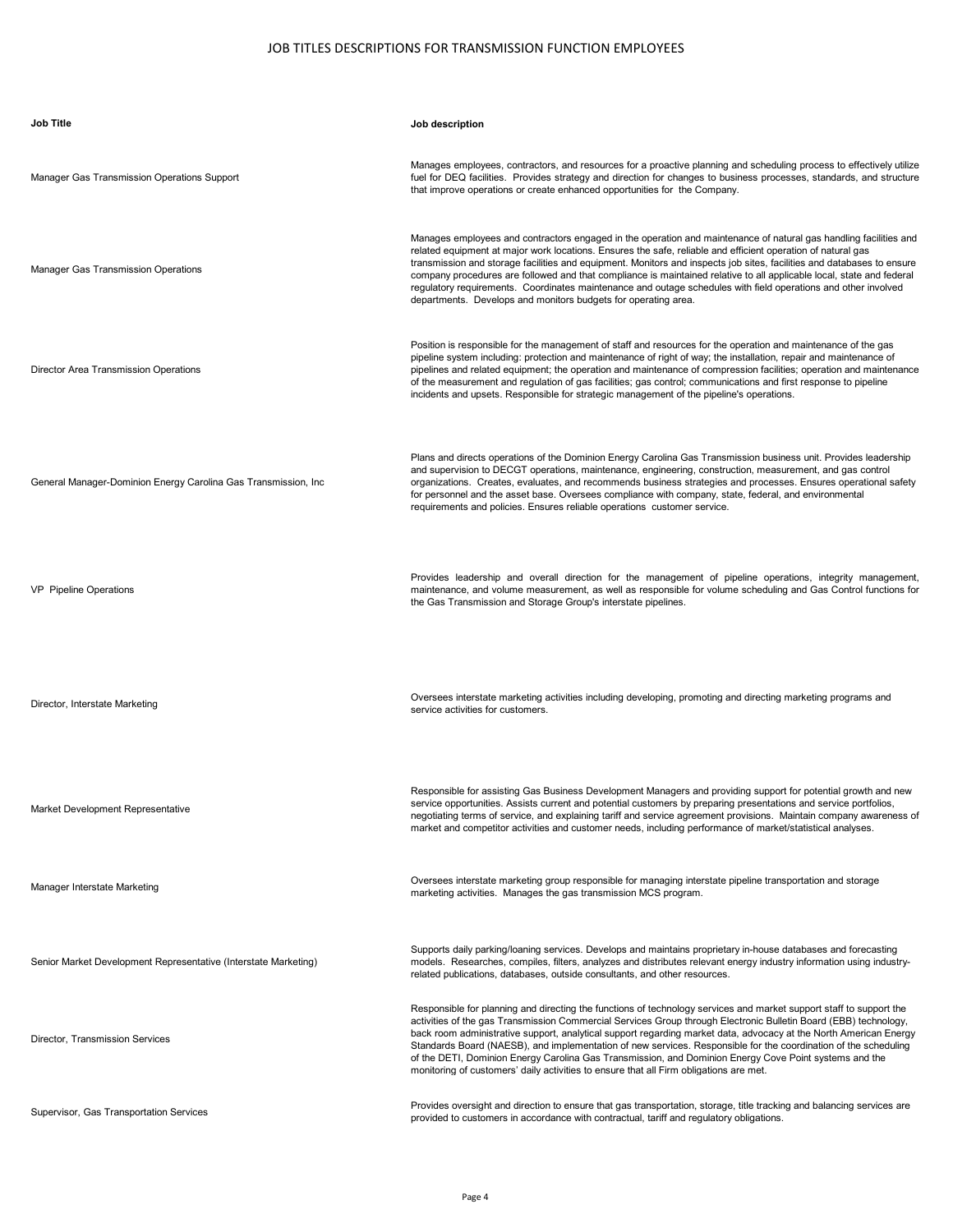| <b>Job Title</b>                                                | Job description                                                                                                                                                                                                                                                                                                                                                                                                                                                                                                                                                                                                                                                                     |
|-----------------------------------------------------------------|-------------------------------------------------------------------------------------------------------------------------------------------------------------------------------------------------------------------------------------------------------------------------------------------------------------------------------------------------------------------------------------------------------------------------------------------------------------------------------------------------------------------------------------------------------------------------------------------------------------------------------------------------------------------------------------|
| Manager Gas Transmission Operations Support                     | Manages employees, contractors, and resources for a proactive planning and scheduling process to effectively utilize<br>fuel for DEQ facilities. Provides strategy and direction for changes to business processes, standards, and structure<br>that improve operations or create enhanced opportunities for the Company.                                                                                                                                                                                                                                                                                                                                                           |
| Manager Gas Transmission Operations                             | Manages employees and contractors engaged in the operation and maintenance of natural gas handling facilities and<br>related equipment at major work locations. Ensures the safe, reliable and efficient operation of natural gas<br>transmission and storage facilities and equipment. Monitors and inspects job sites, facilities and databases to ensure<br>company procedures are followed and that compliance is maintained relative to all applicable local, state and federal<br>regulatory requirements. Coordinates maintenance and outage schedules with field operations and other involved<br>departments. Develops and monitors budgets for operating area.            |
| Director Area Transmission Operations                           | Position is responsible for the management of staff and resources for the operation and maintenance of the gas<br>pipeline system including: protection and maintenance of right of way; the installation, repair and maintenance of<br>pipelines and related equipment; the operation and maintenance of compression facilities; operation and maintenance<br>of the measurement and regulation of gas facilities; gas control; communications and first response to pipeline<br>incidents and upsets. Responsible for strategic management of the pipeline's operations.                                                                                                          |
| General Manager-Dominion Energy Carolina Gas Transmission, Inc  | Plans and directs operations of the Dominion Energy Carolina Gas Transmission business unit. Provides leadership<br>and supervision to DECGT operations, maintenance, engineering, construction, measurement, and gas control<br>organizations. Creates, evaluates, and recommends business strategies and processes. Ensures operational safety<br>for personnel and the asset base. Oversees compliance with company, state, federal, and environmental<br>requirements and policies. Ensures reliable operations customer service.                                                                                                                                               |
| VP Pipeline Operations                                          | Provides leadership and overall direction for the management of pipeline operations, integrity management,<br>maintenance, and volume measurement, as well as responsible for volume scheduling and Gas Control functions for<br>the Gas Transmission and Storage Group's interstate pipelines.                                                                                                                                                                                                                                                                                                                                                                                     |
| Director, Interstate Marketing                                  | Oversees interstate marketing activities including developing, promoting and directing marketing programs and<br>service activities for customers.                                                                                                                                                                                                                                                                                                                                                                                                                                                                                                                                  |
| Market Development Representative                               | Responsible for assisting Gas Business Development Managers and providing support for potential growth and new<br>service opportunities. Assists current and potential customers by preparing presentations and service portfolios,<br>negotiating terms of service, and explaining tariff and service agreement provisions. Maintain company awareness of<br>market and competitor activities and customer needs, including performance of market/statistical analyses.                                                                                                                                                                                                            |
| Manager Interstate Marketing                                    | Oversees interstate marketing group responsible for managing interstate pipeline transportation and storage<br>marketing activities. Manages the gas transmission MCS program.                                                                                                                                                                                                                                                                                                                                                                                                                                                                                                      |
| Senior Market Development Representative (Interstate Marketing) | Supports daily parking/loaning services. Develops and maintains proprietary in-house databases and forecasting<br>models. Researches, compiles, filters, analyzes and distributes relevant energy industry information using industry-<br>related publications, databases, outside consultants, and other resources.                                                                                                                                                                                                                                                                                                                                                                |
| Director, Transmission Services                                 | Responsible for planning and directing the functions of technology services and market support staff to support the<br>activities of the gas Transmission Commercial Services Group through Electronic Bulletin Board (EBB) technology,<br>back room administrative support, analytical support regarding market data, advocacy at the North American Energy<br>Standards Board (NAESB), and implementation of new services. Responsible for the coordination of the scheduling<br>of the DETI, Dominion Energy Carolina Gas Transmission, and Dominion Energy Cove Point systems and the<br>monitoring of customers' daily activities to ensure that all Firm obligations are met. |
| Supervisor, Gas Transportation Services                         | Provides oversight and direction to ensure that gas transportation, storage, title tracking and balancing services are<br>provided to customers in accordance with contractual, tariff and regulatory obligations.                                                                                                                                                                                                                                                                                                                                                                                                                                                                  |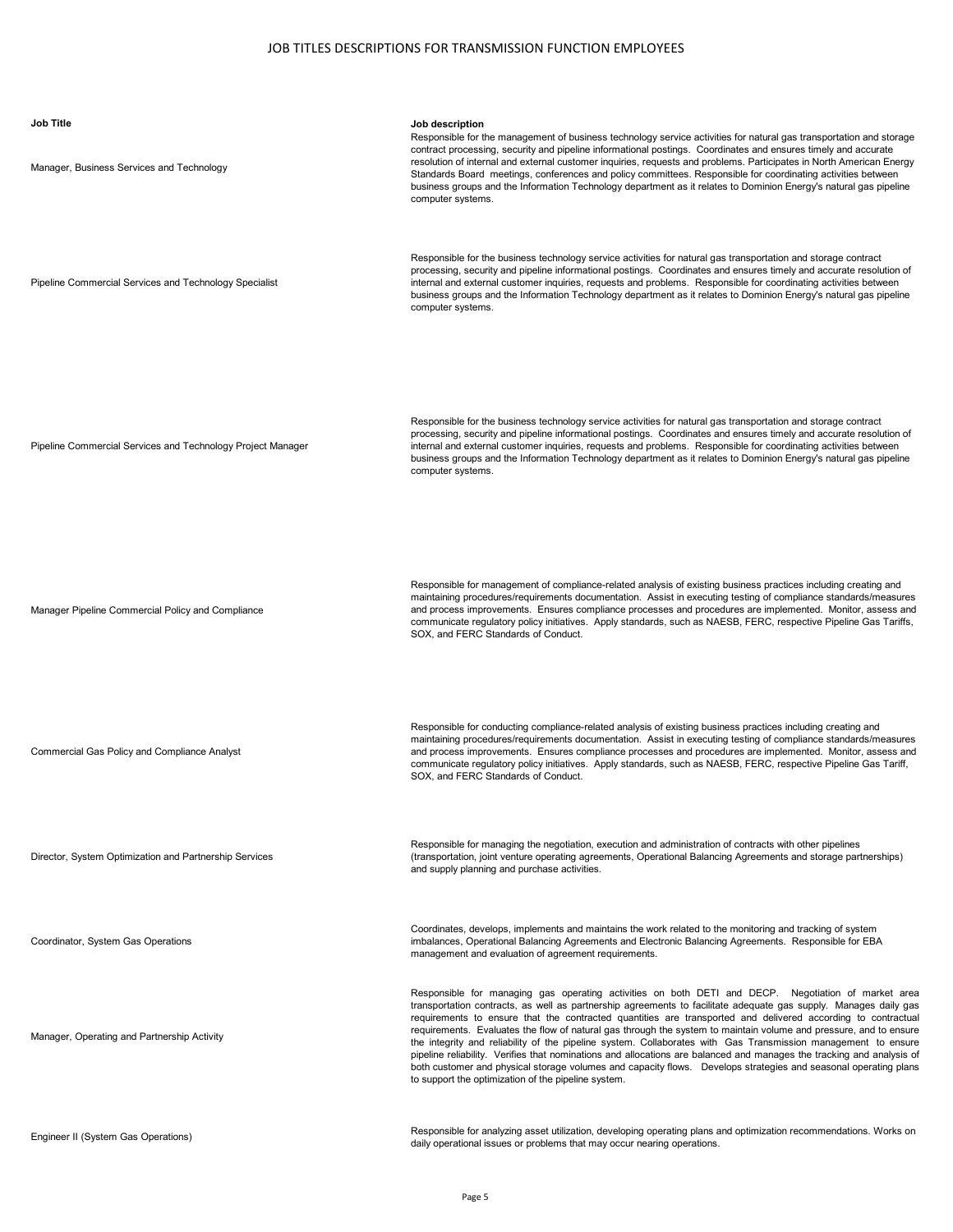| <b>Job Title</b><br>Manager, Business Services and Technology | Job description<br>Responsible for the management of business technology service activities for natural gas transportation and storage<br>contract processing, security and pipeline informational postings. Coordinates and ensures timely and accurate<br>resolution of internal and external customer inquiries, requests and problems. Participates in North American Energy<br>Standards Board meetings, conferences and policy committees. Responsible for coordinating activities between<br>business groups and the Information Technology department as it relates to Dominion Energy's natural gas pipeline<br>computer systems.                                                                                                                                                                                                                                      |
|---------------------------------------------------------------|---------------------------------------------------------------------------------------------------------------------------------------------------------------------------------------------------------------------------------------------------------------------------------------------------------------------------------------------------------------------------------------------------------------------------------------------------------------------------------------------------------------------------------------------------------------------------------------------------------------------------------------------------------------------------------------------------------------------------------------------------------------------------------------------------------------------------------------------------------------------------------|
| Pipeline Commercial Services and Technology Specialist        | Responsible for the business technology service activities for natural gas transportation and storage contract<br>processing, security and pipeline informational postings. Coordinates and ensures timely and accurate resolution of<br>internal and external customer inquiries, requests and problems. Responsible for coordinating activities between<br>business groups and the Information Technology department as it relates to Dominion Energy's natural gas pipeline<br>computer systems.                                                                                                                                                                                                                                                                                                                                                                             |
| Pipeline Commercial Services and Technology Project Manager   | Responsible for the business technology service activities for natural gas transportation and storage contract<br>processing, security and pipeline informational postings. Coordinates and ensures timely and accurate resolution of<br>internal and external customer inquiries, requests and problems. Responsible for coordinating activities between<br>business groups and the Information Technology department as it relates to Dominion Energy's natural gas pipeline<br>computer systems.                                                                                                                                                                                                                                                                                                                                                                             |
| Manager Pipeline Commercial Policy and Compliance             | Responsible for management of compliance-related analysis of existing business practices including creating and<br>maintaining procedures/requirements documentation. Assist in executing testing of compliance standards/measures<br>and process improvements. Ensures compliance processes and procedures are implemented. Monitor, assess and<br>communicate regulatory policy initiatives. Apply standards, such as NAESB, FERC, respective Pipeline Gas Tariffs,<br>SOX, and FERC Standards of Conduct.                                                                                                                                                                                                                                                                                                                                                                    |
| Commercial Gas Policy and Compliance Analyst                  | Responsible for conducting compliance-related analysis of existing business practices including creating and<br>maintaining procedures/requirements documentation. Assist in executing testing of compliance standards/measures<br>and process improvements. Ensures compliance processes and procedures are implemented. Monitor, assess and<br>communicate regulatory policy initiatives. Apply standards, such as NAESB, FERC, respective Pipeline Gas Tariff,<br>SOX, and FERC Standards of Conduct.                                                                                                                                                                                                                                                                                                                                                                        |
| Director, System Optimization and Partnership Services        | Responsible for managing the negotiation, execution and administration of contracts with other pipelines<br>(transportation, joint venture operating agreements, Operational Balancing Agreements and storage partnerships)<br>and supply planning and purchase activities.                                                                                                                                                                                                                                                                                                                                                                                                                                                                                                                                                                                                     |
| Coordinator, System Gas Operations                            | Coordinates, develops, implements and maintains the work related to the monitoring and tracking of system<br>imbalances, Operational Balancing Agreements and Electronic Balancing Agreements. Responsible for EBA<br>management and evaluation of agreement requirements.                                                                                                                                                                                                                                                                                                                                                                                                                                                                                                                                                                                                      |
| Manager, Operating and Partnership Activity                   | Responsible for managing gas operating activities on both DETI and DECP. Negotiation of market area<br>transportation contracts, as well as partnership agreements to facilitate adequate gas supply. Manages daily gas<br>requirements to ensure that the contracted quantities are transported and delivered according to contractua<br>requirements. Evaluates the flow of natural gas through the system to maintain volume and pressure, and to ensure<br>the integrity and reliability of the pipeline system. Collaborates with Gas Transmission management to ensure<br>pipeline reliability. Verifies that nominations and allocations are balanced and manages the tracking and analysis o<br>both customer and physical storage volumes and capacity flows.  Develops strategies and seasonal operating plans<br>to support the optimization of the pipeline system. |
| Engineer II (System Gas Operations)                           | Responsible for analyzing asset utilization, developing operating plans and optimization recommendations. Works on<br>daily operational issues or problems that may occur nearing operations.                                                                                                                                                                                                                                                                                                                                                                                                                                                                                                                                                                                                                                                                                   |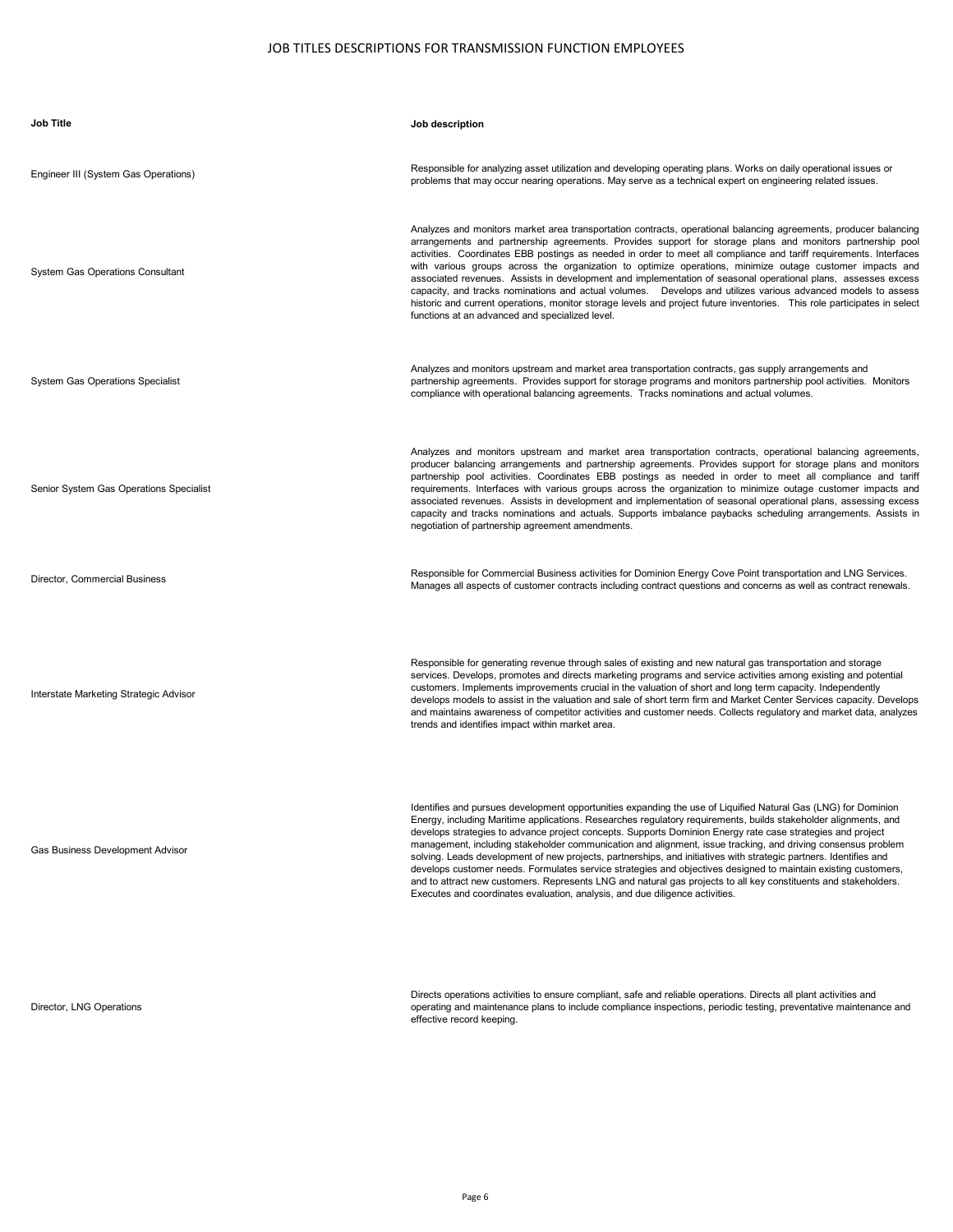| <b>Job Title</b>                        | Job description                                                                                                                                                                                                                                                                                                                                                                                                                                                                                                                                                                                                                                                                                                                                                                                                                                                                                           |
|-----------------------------------------|-----------------------------------------------------------------------------------------------------------------------------------------------------------------------------------------------------------------------------------------------------------------------------------------------------------------------------------------------------------------------------------------------------------------------------------------------------------------------------------------------------------------------------------------------------------------------------------------------------------------------------------------------------------------------------------------------------------------------------------------------------------------------------------------------------------------------------------------------------------------------------------------------------------|
| Engineer III (System Gas Operations)    | Responsible for analyzing asset utilization and developing operating plans. Works on daily operational issues or<br>problems that may occur nearing operations. May serve as a technical expert on engineering related issues.                                                                                                                                                                                                                                                                                                                                                                                                                                                                                                                                                                                                                                                                            |
| <b>System Gas Operations Consultant</b> | Analyzes and monitors market area transportation contracts, operational balancing agreements, producer balancing<br>arrangements and partnership agreements. Provides support for storage plans and monitors partnership pool<br>activities. Coordinates EBB postings as needed in order to meet all compliance and tariff requirements. Interfaces<br>with various groups across the organization to optimize operations, minimize outage customer impacts and<br>associated revenues. Assists in development and implementation of seasonal operational plans, assesses excess<br>capacity, and tracks nominations and actual volumes. Develops and utilizes various advanced models to assess<br>historic and current operations, monitor storage levels and project future inventories. This role participates in select<br>functions at an advanced and specialized level.                           |
| <b>System Gas Operations Specialist</b> | Analyzes and monitors upstream and market area transportation contracts, gas supply arrangements and<br>partnership agreements. Provides support for storage programs and monitors partnership pool activities. Monitors<br>compliance with operational balancing agreements. Tracks nominations and actual volumes.                                                                                                                                                                                                                                                                                                                                                                                                                                                                                                                                                                                      |
| Senior System Gas Operations Specialist | Analyzes and monitors upstream and market area transportation contracts, operational balancing agreements,<br>producer balancing arrangements and partnership agreements. Provides support for storage plans and monitors<br>partnership pool activities. Coordinates EBB postings as needed in order to meet all compliance and tariff<br>requirements. Interfaces with various groups across the organization to minimize outage customer impacts and<br>associated revenues. Assists in development and implementation of seasonal operational plans, assessing excess<br>capacity and tracks nominations and actuals. Supports imbalance paybacks scheduling arrangements. Assists in<br>negotiation of partnership agreement amendments.                                                                                                                                                             |
| Director, Commercial Business           | Responsible for Commercial Business activities for Dominion Energy Cove Point transportation and LNG Services.<br>Manages all aspects of customer contracts including contract questions and concerns as well as contract renewals.                                                                                                                                                                                                                                                                                                                                                                                                                                                                                                                                                                                                                                                                       |
| Interstate Marketing Strategic Advisor  | Responsible for generating revenue through sales of existing and new natural gas transportation and storage<br>services. Develops, promotes and directs marketing programs and service activities among existing and potential<br>customers. Implements improvements crucial in the valuation of short and long term capacity. Independently<br>develops models to assist in the valuation and sale of short term firm and Market Center Services capacity. Develops<br>and maintains awareness of competitor activities and customer needs. Collects regulatory and market data, analyzes<br>trends and identifies impact within market area.                                                                                                                                                                                                                                                            |
| Gas Business Development Advisor        | Identifies and pursues development opportunities expanding the use of Liquified Natural Gas (LNG) for Dominion<br>Energy, including Maritime applications. Researches regulatory requirements, builds stakeholder alignments, and<br>develops strategies to advance project concepts. Supports Dominion Energy rate case strategies and project<br>management, including stakeholder communication and alignment, issue tracking, and driving consensus problem<br>solving. Leads development of new projects, partnerships, and initiatives with strategic partners. Identifies and<br>develops customer needs. Formulates service strategies and objectives designed to maintain existing customers,<br>and to attract new customers. Represents LNG and natural gas projects to all key constituents and stakeholders.<br>Executes and coordinates evaluation, analysis, and due diligence activities. |
|                                         |                                                                                                                                                                                                                                                                                                                                                                                                                                                                                                                                                                                                                                                                                                                                                                                                                                                                                                           |

Director, LNG Operations

Directs operations activities to ensure compliant, safe and reliable operations. Directs all plant activities and<br>operating and maintenance plans to include compliance inspections, periodic testing, preventative maintenanc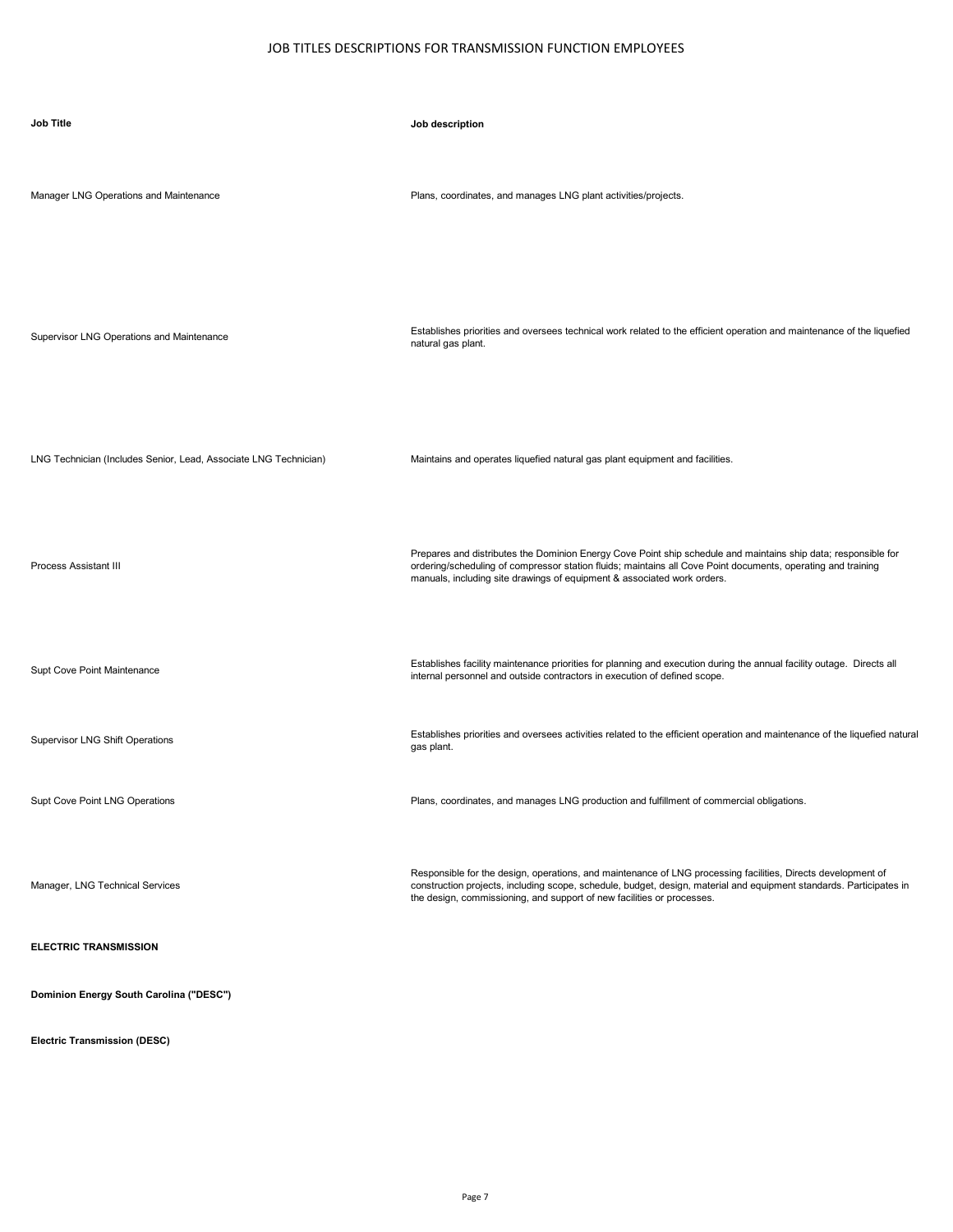| <b>Job Title</b>                                                 | Job description                                                                                                                                                                                                                                                                                               |
|------------------------------------------------------------------|---------------------------------------------------------------------------------------------------------------------------------------------------------------------------------------------------------------------------------------------------------------------------------------------------------------|
| Manager LNG Operations and Maintenance                           | Plans, coordinates, and manages LNG plant activities/projects.                                                                                                                                                                                                                                                |
| Supervisor LNG Operations and Maintenance                        | Establishes priorities and oversees technical work related to the efficient operation and maintenance of the liquefied<br>natural gas plant.                                                                                                                                                                  |
| LNG Technician (Includes Senior, Lead, Associate LNG Technician) | Maintains and operates liquefied natural gas plant equipment and facilities.                                                                                                                                                                                                                                  |
| <b>Process Assistant III</b>                                     | Prepares and distributes the Dominion Energy Cove Point ship schedule and maintains ship data; responsible for<br>ordering/scheduling of compressor station fluids; maintains all Cove Point documents, operating and training<br>manuals, including site drawings of equipment & associated work orders.     |
| Supt Cove Point Maintenance                                      | Establishes facility maintenance priorities for planning and execution during the annual facility outage. Directs all<br>internal personnel and outside contractors in execution of defined scope.                                                                                                            |
| <b>Supervisor LNG Shift Operations</b>                           | Establishes priorities and oversees activities related to the efficient operation and maintenance of the liquefied natural<br>gas plant.                                                                                                                                                                      |
| Supt Cove Point LNG Operations                                   | Plans, coordinates, and manages LNG production and fulfillment of commercial obligations.                                                                                                                                                                                                                     |
| Manager, LNG Technical Services                                  | Responsible for the design, operations, and maintenance of LNG processing facilities, Directs development of<br>construction projects, including scope, schedule, budget, design, material and equipment standards. Participates in<br>the design, commissioning, and support of new facilities or processes. |
| <b>ELECTRIC TRANSMISSION</b>                                     |                                                                                                                                                                                                                                                                                                               |
| Dominion Energy South Carolina ("DESC")                          |                                                                                                                                                                                                                                                                                                               |

**Electric Transmission (DESC)**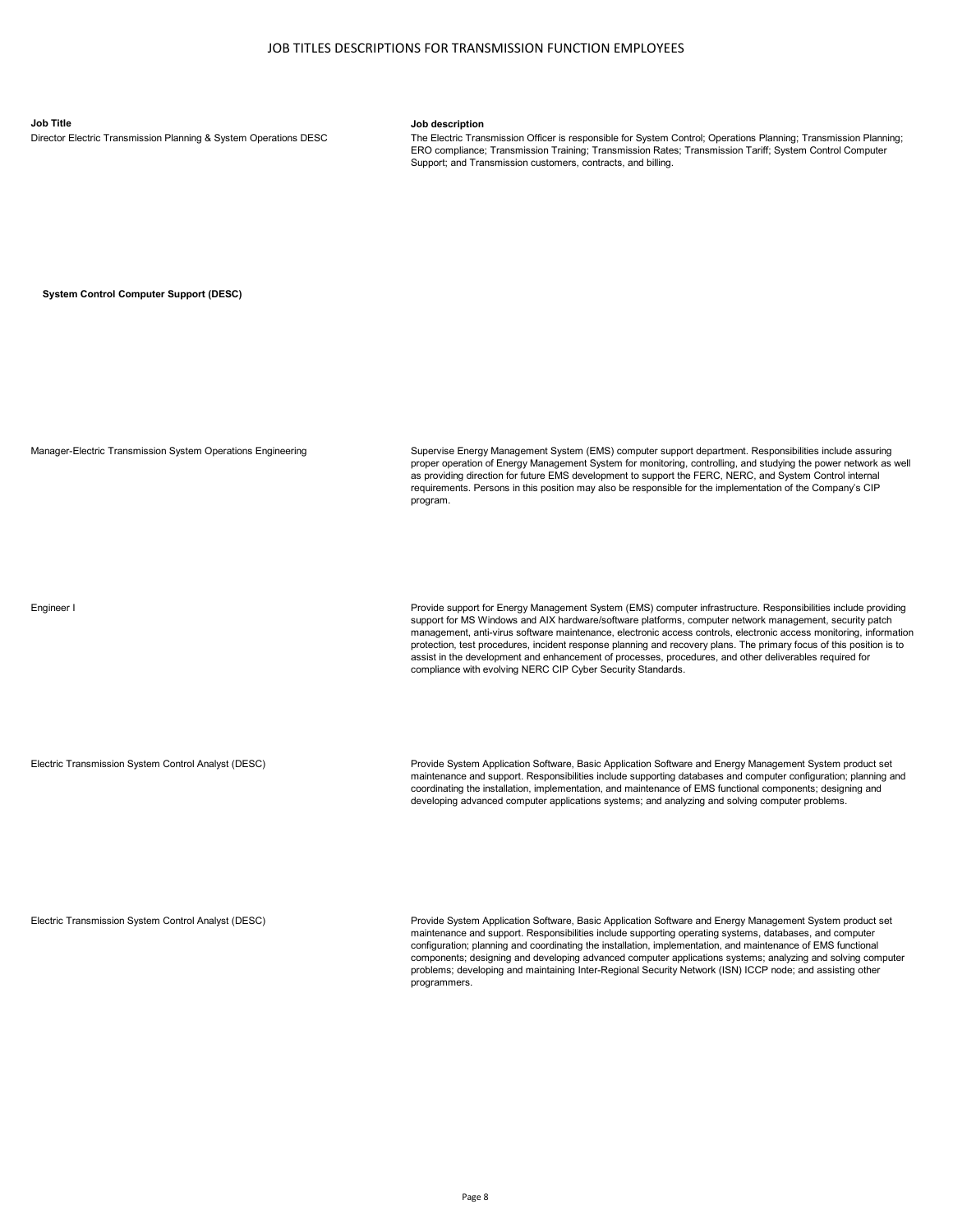**Job Title Job description**<br>Director Electric Transmission Planning & System Operations DESC **The Electric Tran** 

The Electric Transmission Officer is responsible for System Control; Operations Planning; Transmission Planning; ERO compliance; Transmission Training; Transmission Rates; Transmission Tariff; System Control Computer Support: and Transmission customers, contracts, and billing.

**System Control Computer Support (DESC)**

Manager-Electric Transmission System Operations Engineering Supervise Energy Management System (EMS) computer support department. Responsibilities include assuring proper operation of Energy Management System for monitoring, controlling, and studying the power network as well as providing direction for future EMS development to support the FERC, NERC, and System Control internal requirements. Persons in this position may also be responsible for the implementation of the Company's CIP program.

Engineer I Provide support for Energy Management System (EMS) computer infrastructure. Responsibilities include providing

protection, test procedures, incident response planning and recovery plans. The primary focus of this position is to assist in the development and enhancement of processes, procedures, and other deliverables required for compliance with evolving NERC CIP Cyber Security Standards.

support for MS Windows and AIX hardware/software platforms, computer network management, security patch management, anti-virus software maintenance, electronic access controls, electronic access monitoring, information

Electric Transmission System Control Analyst (DESC) Provide System Application Software, Basic Application Software and Energy Management System product set maintenance and support. Responsibilities include supporting databases and computer configuration; planning and coordinating the installation, implementation, and maintenance of EMS functional components; designing and developing advanced computer applications systems; and analyzing and solving computer problems.

Electric Transmission System Control Analyst (DESC) Provide System Application Software, Basic Application Software and Energy Management System product set maintenance and support. Responsibilities include supporting operating systems, databases, and computer configuration; planning and coordinating the installation, implementation, and maintenance of EMS functional components; designing and developing advanced computer applications systems; analyzing and solving computer problems; developing and maintaining Inter-Regional Security Network (ISN) ICCP node; and assisting other programmers.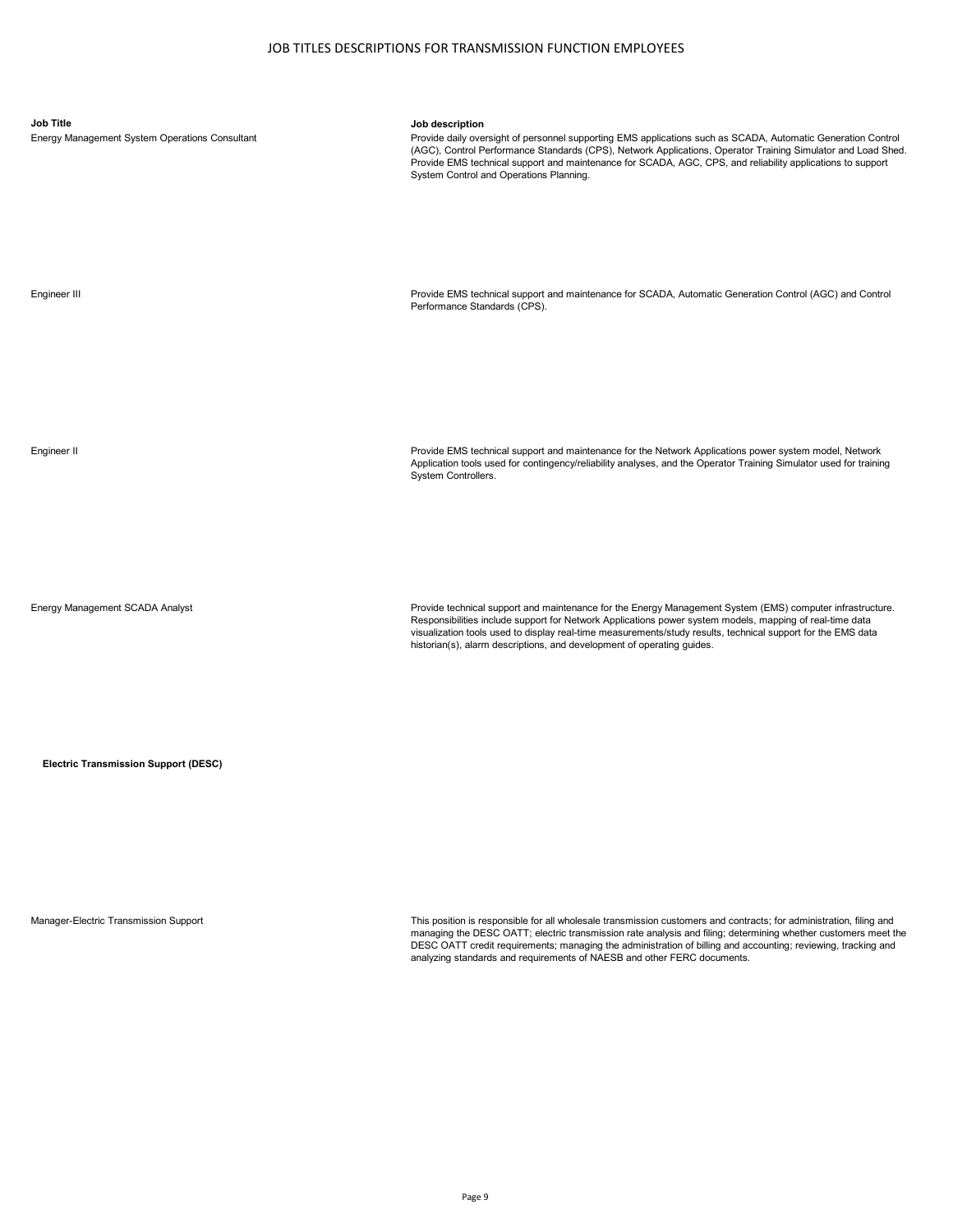| <b>Job Title</b><br>Energy Management System Operations Consultant | Job description<br>Provide daily oversight of personnel supporting EMS applications such as SCADA, Automatic Generation Control<br>(AGC), Control Performance Standards (CPS), Network Applications, Operator Training Simulator and Load Shed.<br>Provide EMS technical support and maintenance for SCADA, AGC, CPS, and reliability applications to support<br>System Control and Operations Planning.        |
|--------------------------------------------------------------------|-----------------------------------------------------------------------------------------------------------------------------------------------------------------------------------------------------------------------------------------------------------------------------------------------------------------------------------------------------------------------------------------------------------------|
| Engineer III                                                       | Provide EMS technical support and maintenance for SCADA, Automatic Generation Control (AGC) and Control<br>Performance Standards (CPS).                                                                                                                                                                                                                                                                         |
| Engineer II                                                        | Provide EMS technical support and maintenance for the Network Applications power system model, Network<br>Application tools used for contingency/reliability analyses, and the Operator Training Simulator used for training<br>System Controllers.                                                                                                                                                             |
| Energy Management SCADA Analyst                                    | Provide technical support and maintenance for the Energy Management System (EMS) computer infrastructure.<br>Responsibilities include support for Network Applications power system models, mapping of real-time data<br>visualization tools used to display real-time measurements/study results, technical support for the EMS data<br>historian(s), alarm descriptions, and development of operating quides. |

**Electric Transmission Support (DESC)**

Manager-Electric Transmission Support This position is responsible for all wholesale transmission customers and contracts; for administration, filing and managing the DESC OATT; electric transmission rate analysis and filing; determining whether customers meet the<br>DESC OATT credit requirements; managing the administration of billing and accounting; reviewing, tracking and<br>a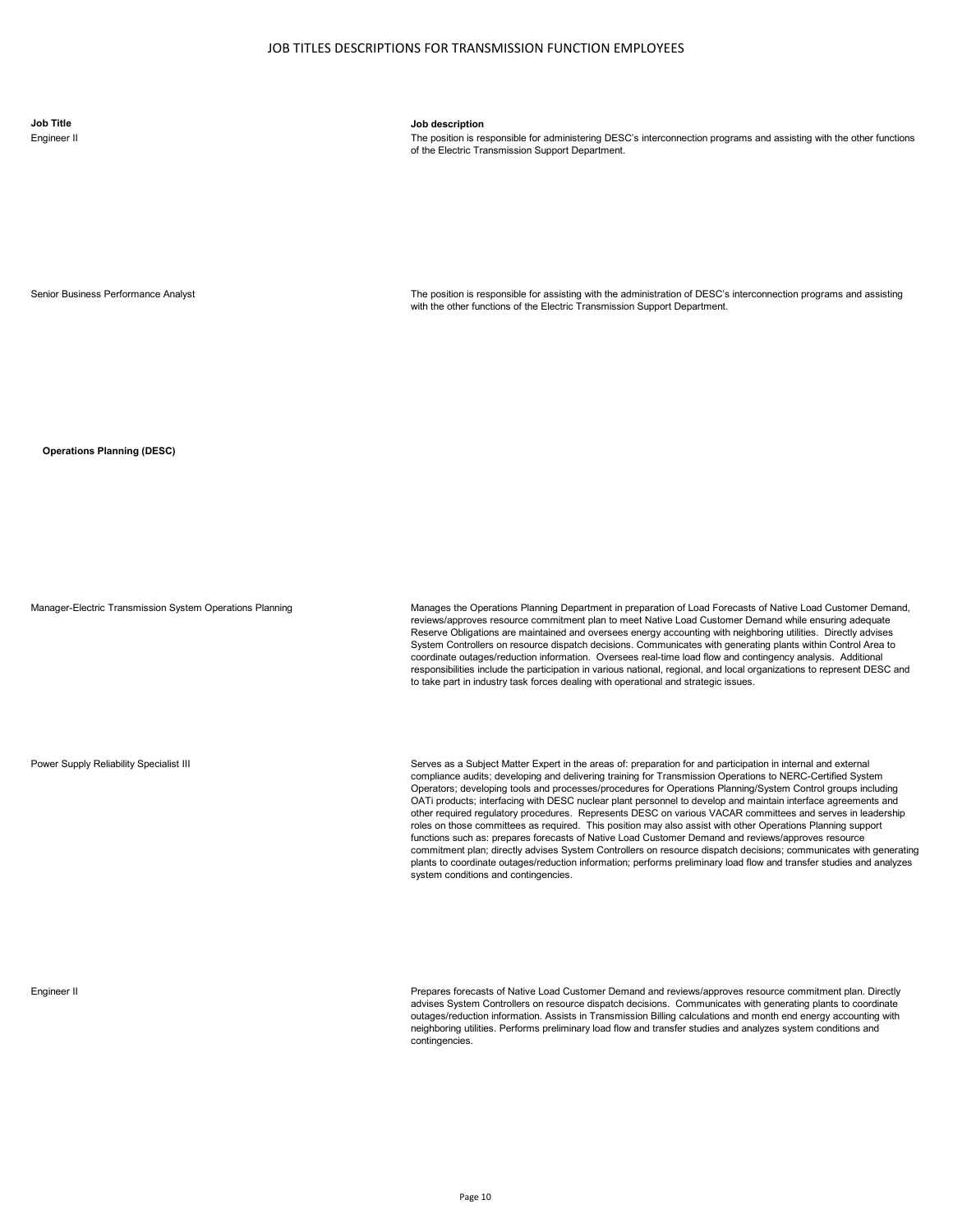The position is responsible for administering DESC's interconnection programs and assisting with the other functions of the Electric Transmission Support Department.

Senior Business Performance Analyst The position is responsible for assisting with the administration of DESC's interconnection programs and assisting with the other functions of the Electric Transmission Support Department.

**Operations Planning (DESC)**

Manager-Electric Transmission System Operations Planning Manages the Operations Planning Department in preparation of Load Forecasts of Native Load Customer Demand, reviews/approves resource commitment plan to meet Native Load Customer Demand while ensuring adequate Reserve Obligations are maintained and oversees energy accounting with neighboring utilities. Directly advises System Controllers on resource dispatch decisions. Communicates with generating plants within Control Area to coordinate outages/reduction information. Oversees real-time load flow and contingency analysis. Additional responsibilities include the participation in various national, regional, and local organizations to represent DESC and to take part in industry task forces dealing with operational and strategic issues.

Power Supply Reliability Specialist III Serves as a Subject Matter Expert in the areas of: preparation for and participation in internal and external compliance audits; developing and delivering training for Transmission Operations to NERC-Certified System Operators; developing tools and processes/procedures for Operations Planning/System Control groups including OATi products; interfacing with DESC nuclear plant personnel to develop and maintain interface agreements and other required regulatory procedures. Represents DESC on various VACAR committees and serves in leadership roles on those committees as required. This position may also assist with other Operations Planning support functions such as: prepares forecasts of Native Load Customer Demand and reviews/approves resource commitment plan; directly advises System Controllers on resource dispatch decisions; communicates with generating plants to coordinate outages/reduction information; performs preliminary load flow and transfer studies and analyzes system conditions and contingencies.

Engineer II Prepares forecasts of Native Load Customer Demand and reviews/approves resource commitment plan. Directly advises System Controllers on resource dispatch decisions. Communicates with generating plants to coordinate outages/reduction information. Assists in Transmission Billing calculations and month end energy accounting with neighboring utilities. Performs preliminary load flow and transfer studies and analyzes system conditions and contingencies.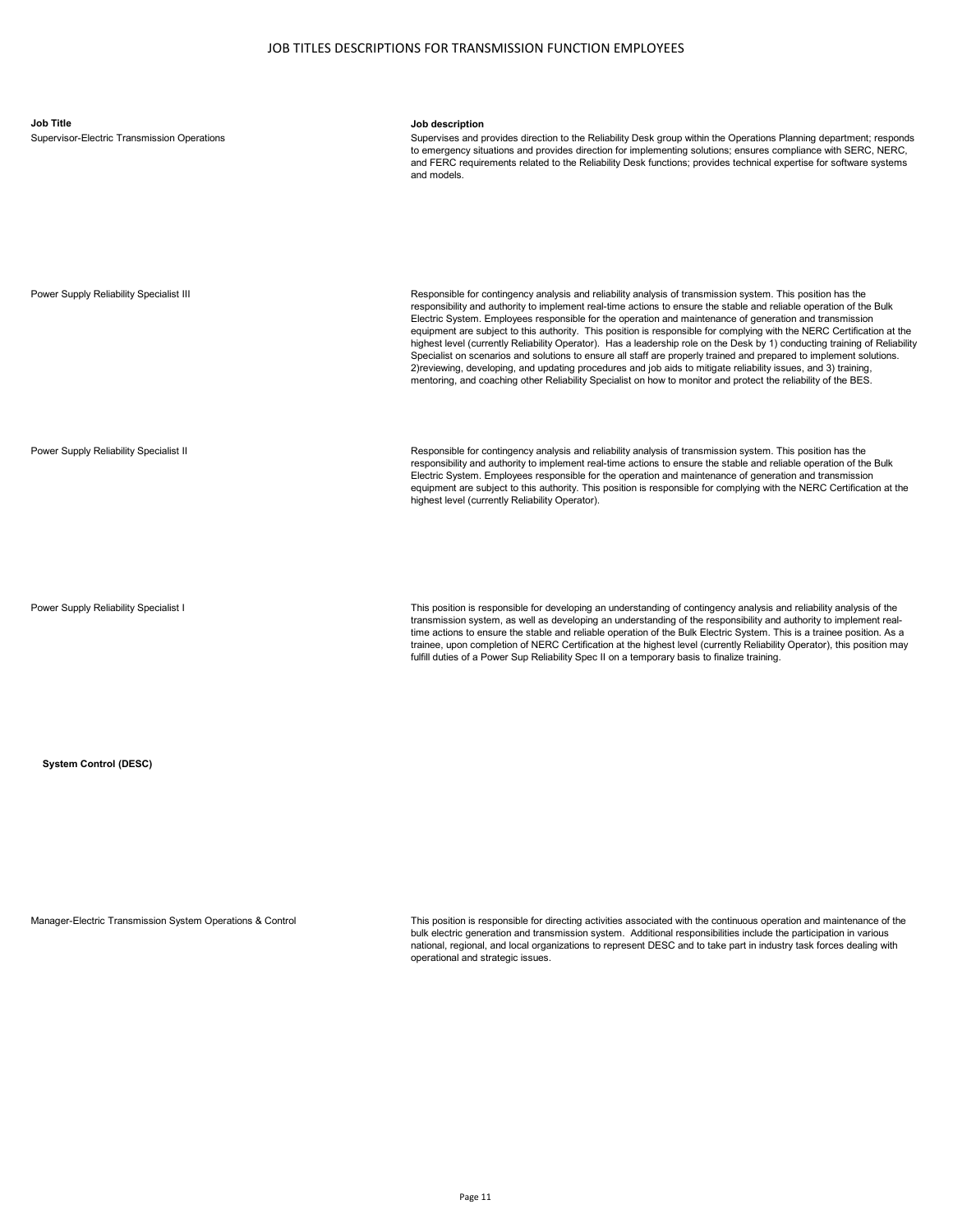| <b>Job Title</b><br>Supervisor-Electric Transmission Operations | Job description<br>Supervises and provides direction to the Reliability Desk group within the Operations Planning department; responds<br>to emergency situations and provides direction for implementing solutions; ensures compliance with SERC, NERC,<br>and FERC requirements related to the Reliability Desk functions; provides technical expertise for software systems<br>and models.                                                                                                                                                                                                                                                                                                                                                                                                                                                                                                                                                                     |
|-----------------------------------------------------------------|-------------------------------------------------------------------------------------------------------------------------------------------------------------------------------------------------------------------------------------------------------------------------------------------------------------------------------------------------------------------------------------------------------------------------------------------------------------------------------------------------------------------------------------------------------------------------------------------------------------------------------------------------------------------------------------------------------------------------------------------------------------------------------------------------------------------------------------------------------------------------------------------------------------------------------------------------------------------|
| Power Supply Reliability Specialist III                         | Responsible for contingency analysis and reliability analysis of transmission system. This position has the<br>responsibility and authority to implement real-time actions to ensure the stable and reliable operation of the Bulk<br>Electric System. Employees responsible for the operation and maintenance of generation and transmission<br>equipment are subject to this authority. This position is responsible for complying with the NERC Certification at the<br>highest level (currently Reliability Operator). Has a leadership role on the Desk by 1) conducting training of Reliability<br>Specialist on scenarios and solutions to ensure all staff are properly trained and prepared to implement solutions.<br>2) reviewing, developing, and updating procedures and job aids to mitigate reliability issues, and 3) training,<br>mentoring, and coaching other Reliability Specialist on how to monitor and protect the reliability of the BES. |
| Power Supply Reliability Specialist II                          | Responsible for contingency analysis and reliability analysis of transmission system. This position has the<br>responsibility and authority to implement real-time actions to ensure the stable and reliable operation of the Bulk<br>Electric System. Employees responsible for the operation and maintenance of generation and transmission<br>equipment are subject to this authority. This position is responsible for complying with the NERC Certification at the<br>highest level (currently Reliability Operator).                                                                                                                                                                                                                                                                                                                                                                                                                                        |

Power Supply Reliability Specialist I This position is responsible for developing an understanding of contingency analysis and reliability analysis of the transmission system, as well as developing an understanding of the responsibility and authority to implement real-<br>time actions to ensure the stable and reliable operation of the Bulk Electric System. This is a trainee pos trainee, upon completion of NERC Certification at the highest level (currently Reliability Operator), this position may fulfill duties of a Power Sup Reliability Spec II on a temporary basis to finalize training.

**System Control (DESC)**

Manager-Electric Transmission System Operations & Control This position is responsible for directing activities associated with the continuous operation and maintenance of the bulk electric generation and transmission system. Additional responsibilities include the participation in various<br>national, regional, and local organizations to represent DESC and to take part in industry task forces dea operational and strategic issues.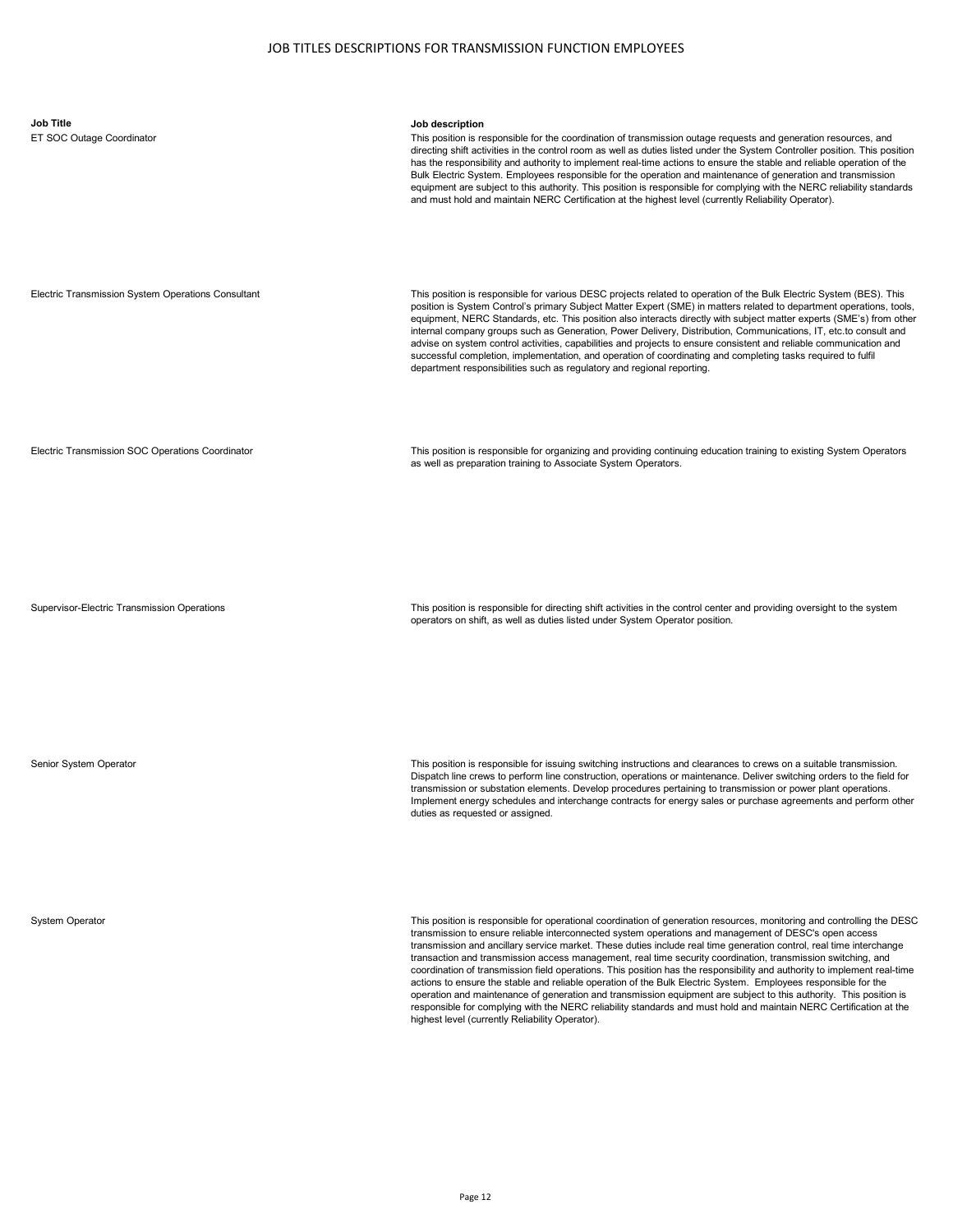| <b>Job Title</b><br>ET SOC Outage Coordinator      | Job description<br>This position is responsible for the coordination of transmission outage requests and generation resources, and<br>directing shift activities in the control room as well as duties listed under the System Controller position. This position<br>has the responsibility and authority to implement real-time actions to ensure the stable and reliable operation of the<br>Bulk Electric System. Employees responsible for the operation and maintenance of generation and transmission<br>equipment are subject to this authority. This position is responsible for complying with the NERC reliability standards<br>and must hold and maintain NERC Certification at the highest level (currently Reliability Operator).                                                                                                                                                                                                                                                                      |
|----------------------------------------------------|---------------------------------------------------------------------------------------------------------------------------------------------------------------------------------------------------------------------------------------------------------------------------------------------------------------------------------------------------------------------------------------------------------------------------------------------------------------------------------------------------------------------------------------------------------------------------------------------------------------------------------------------------------------------------------------------------------------------------------------------------------------------------------------------------------------------------------------------------------------------------------------------------------------------------------------------------------------------------------------------------------------------|
| Electric Transmission System Operations Consultant | This position is responsible for various DESC projects related to operation of the Bulk Electric System (BES). This<br>position is System Control's primary Subject Matter Expert (SME) in matters related to department operations, tools,<br>equipment, NERC Standards, etc. This position also interacts directly with subject matter experts (SME's) from other<br>internal company groups such as Generation, Power Delivery, Distribution, Communications, IT, etc.to consult and<br>advise on system control activities, capabilities and projects to ensure consistent and reliable communication and<br>successful completion, implementation, and operation of coordinating and completing tasks required to fulfil<br>department responsibilities such as regulatory and regional reporting.                                                                                                                                                                                                             |
| Electric Transmission SOC Operations Coordinator   | This position is responsible for organizing and providing continuing education training to existing System Operators<br>as well as preparation training to Associate System Operators.                                                                                                                                                                                                                                                                                                                                                                                                                                                                                                                                                                                                                                                                                                                                                                                                                              |
| Supervisor-Electric Transmission Operations        | This position is responsible for directing shift activities in the control center and providing oversight to the system<br>operators on shift, as well as duties listed under System Operator position.                                                                                                                                                                                                                                                                                                                                                                                                                                                                                                                                                                                                                                                                                                                                                                                                             |
| Senior System Operator                             | This position is responsible for issuing switching instructions and clearances to crews on a suitable transmission.<br>Dispatch line crews to perform line construction, operations or maintenance. Deliver switching orders to the field for<br>transmission or substation elements. Develop procedures pertaining to transmission or power plant operations.<br>Implement energy schedules and interchange contracts for energy sales or purchase agreements and perform other<br>duties as requested or assigned.                                                                                                                                                                                                                                                                                                                                                                                                                                                                                                |
| <b>System Operator</b>                             | This position is responsible for operational coordination of generation resources, monitoring and controlling the DESC<br>transmission to ensure reliable interconnected system operations and management of DESC's open access<br>transmission and ancillary service market. These duties include real time generation control, real time interchange<br>transaction and transmission access management, real time security coordination, transmission switching, and<br>coordination of transmission field operations. This position has the responsibility and authority to implement real-time<br>actions to ensure the stable and reliable operation of the Bulk Electric System. Employees responsible for the<br>operation and maintenance of generation and transmission equipment are subject to this authority. This position is<br>responsible for complying with the NERC reliability standards and must hold and maintain NERC Certification at the<br>highest level (currently Reliability Operator). |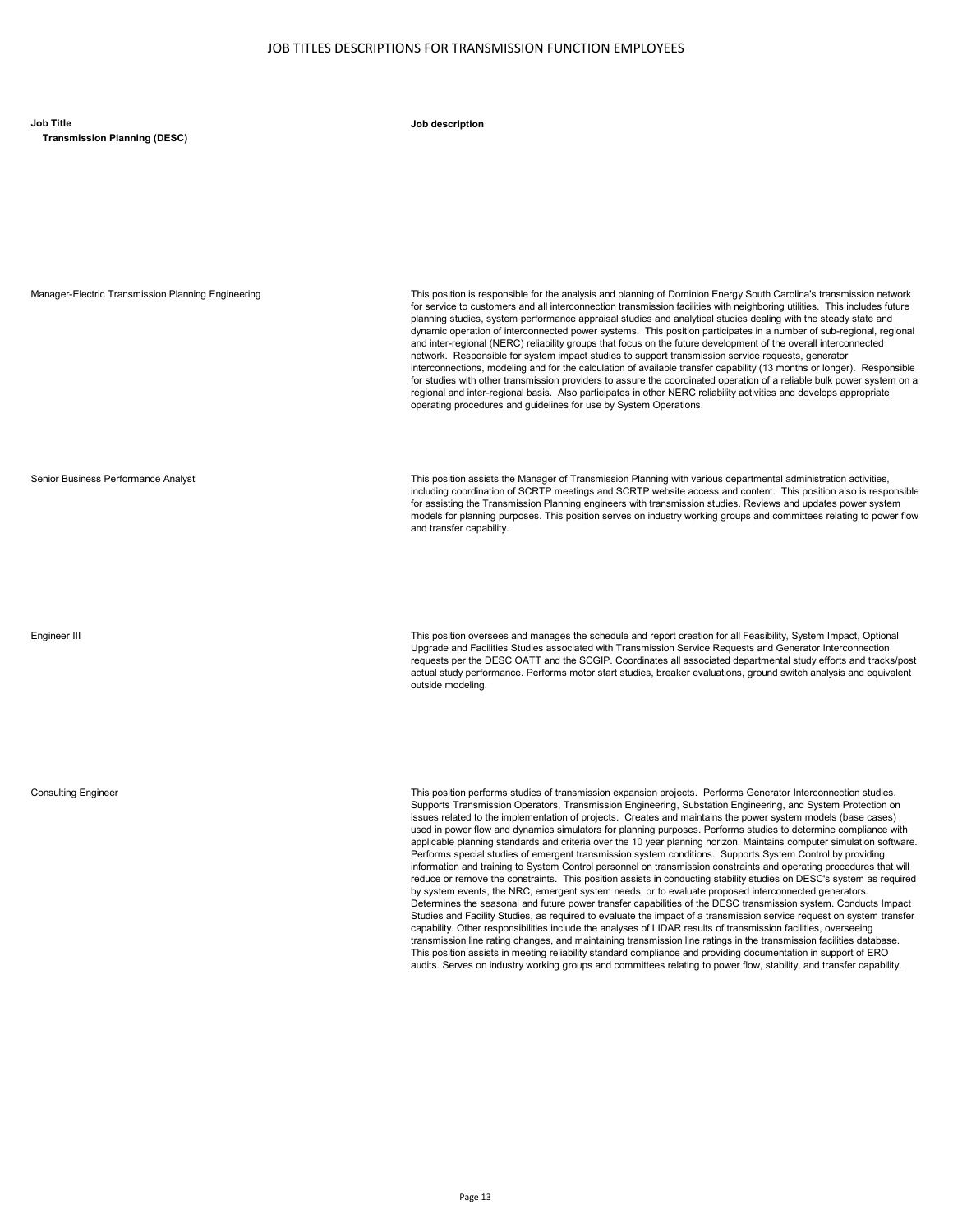**Job Title Job description**

**Transmission Planning (DESC)**

Manager-Electric Transmission Planning Engineering This position is responsible for the analysis and planning of Dominion Energy South Carolina's transmission network for service to customers and all interconnection transmission facilities with neighboring utilities. This includes future planning studies, system performance appraisal studies and analytical studies dealing with the steady state and dynamic operation of interconnected power systems. This position participates in a number of sub-regional, regional and inter-regional (NERC) reliability groups that focus on the future development of the overall interconnected network. Responsible for system impact studies to support transmission service requests, generator interconnections, modeling and for the calculation of available transfer capability (13 months or longer). Responsible for studies with other transmission providers to assure the coordinated operation of a reliable bulk power system on a regional and inter-regional basis. Also participates in other NERC reliability activities and develops appropriate operating procedures and guidelines for use by System Operations.

Senior Business Performance Analyst This position assists the Manager of Transmission Planning with various departmental administration activities, including coordination of SCRTP meetings and SCRTP website access and content. This position also is responsible for assisting the Transmission Planning engineers with transmission studies. Reviews and updates power system models for planning purposes. This position serves on industry working groups and committees relating to power flow and transfer capability.

Engineer III This position oversees and manages the schedule and report creation for all Feasibility, System Impact, Optional Upgrade and Facilities Studies associated with Transmission Service Requests and Generator Interconnection requests per the DESC OATT and the SCGIP. Coordinates all associated departmental study efforts and tracks/post actual study performance. Performs motor start studies, breaker evaluations, ground switch analysis and equivalent outside modeling.

Consulting Engineer This position performs studies of transmission expansion projects. Performs Generator Interconnection studies. Supports Transmission Operators, Transmission Engineering, Substation Engineering, and System Protection on issues related to the implementation of projects. Creates and maintains the power system models (base cases) used in power flow and dynamics simulators for planning purposes. Performs studies to determine compliance with applicable planning standards and criteria over the 10 year planning horizon. Maintains computer simulation software. Performs special studies of emergent transmission system conditions. Supports System Control by providing information and training to System Control personnel on transmission constraints and operating procedures that will reduce or remove the constraints. This position assists in conducting stability studies on DESC's system as required by system events, the NRC, emergent system needs, or to evaluate proposed interconnected generators. Determines the seasonal and future power transfer capabilities of the DESC transmission system. Conducts Impact Studies and Facility Studies, as required to evaluate the impact of a transmission service request on system transfer capability. Other responsibilities include the analyses of LIDAR results of transmission facilities, overseeing transmission line rating changes, and maintaining transmission line ratings in the transmission facilities database. This position assists in meeting reliability standard compliance and providing documentation in support of ERO audits. Serves on industry working groups and committees relating to power flow, stability, and transfer capability.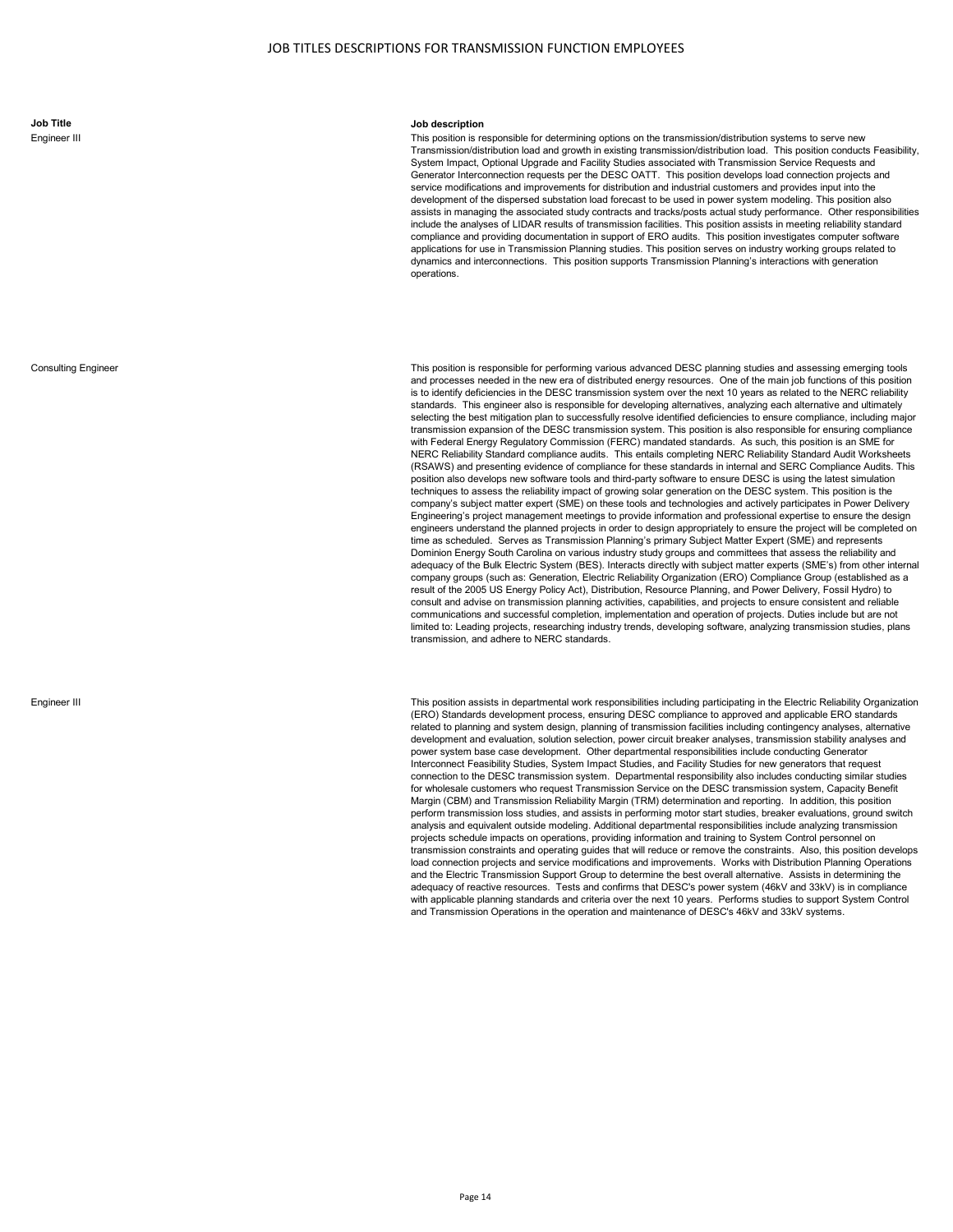**Job Title Job description**

This position is responsible for determining options on the transmission/distribution systems to serve new Transmission/distribution load and growth in existing transmission/distribution load. This position conducts Feasibility, System Impact, Optional Upgrade and Facility Studies associated with Transmission Service Requests and Generator Interconnection requests per the DESC OATT. This position develops load connection projects and service modifications and improvements for distribution and industrial customers and provides input into the development of the dispersed substation load forecast to be used in power system modeling. This position also assists in managing the associated study contracts and tracks/posts actual study performance. Other responsibilities include the analyses of LIDAR results of transmission facilities. This position assists in meeting reliability standard compliance and providing documentation in support of ERO audits. This position investigates computer software applications for use in Transmission Planning studies. This position serves on industry working groups related to dynamics and interconnections. This position supports Transmission Planning's interactions with generation operations.

Consulting Engineer This position is responsible for performing various advanced DESC planning studies and assessing emerging tools and processes needed in the new era of distributed energy resources. One of the main job functions of this position is to identify deficiencies in the DESC transmission system over the next 10 years as related to the NERC reliability standards. This engineer also is responsible for developing alternatives, analyzing each alternative and ultimately selecting the best mitigation plan to successfully resolve identified deficiencies to ensure compliance, including major transmission expansion of the DESC transmission system. This position is also responsible for ensuring compliance with Federal Energy Regulatory Commission (FERC) mandated standards. As such, this position is an SME for NERC Reliability Standard compliance audits. This entails completing NERC Reliability Standard Audit Worksheets (RSAWS) and presenting evidence of compliance for these standards in internal and SERC Compliance Audits. This position also develops new software tools and third-party software to ensure DESC is using the latest simulation techniques to assess the reliability impact of growing solar generation on the DESC system. This position is the company's subject matter expert (SME) on these tools and technologies and actively participates in Power Delivery Engineering's project management meetings to provide information and professional expertise to ensure the design engineers understand the planned projects in order to design appropriately to ensure the project will be completed on time as scheduled. Serves as Transmission Planning's primary Subject Matter Expert (SME) and represents Dominion Energy South Carolina on various industry study groups and committees that assess the reliability and adequacy of the Bulk Electric System (BES). Interacts directly with subject matter experts (SME's) from other internal company groups (such as: Generation, Electric Reliability Organization (ERO) Compliance Group (established as a result of the 2005 US Energy Policy Act), Distribution, Resource Planning, and Power Delivery, Fossil Hydro) to consult and advise on transmission planning activities, capabilities, and projects to ensure consistent and reliable communications and successful completion, implementation and operation of projects. Duties include but are not limited to: Leading projects, researching industry trends, developing software, analyzing transmission studies, plans transmission, and adhere to NERC standards.

Engineer III This position assists in departmental work responsibilities including participating in the Electric Reliability Organization (ERO) Standards development process, ensuring DESC compliance to approved and applicable ERO standards related to planning and system design, planning of transmission facilities including contingency analyses, alternative development and evaluation, solution selection, power circuit breaker analyses, transmission stability analyses and power system base case development. Other departmental responsibilities include conducting Generator Interconnect Feasibility Studies, System Impact Studies, and Facility Studies for new generators that request connection to the DESC transmission system. Departmental responsibility also includes conducting similar studies for wholesale customers who request Transmission Service on the DESC transmission system, Capacity Benefit Margin (CBM) and Transmission Reliability Margin (TRM) determination and reporting. In addition, this position perform transmission loss studies, and assists in performing motor start studies, breaker evaluations, ground switch analysis and equivalent outside modeling. Additional departmental responsibilities include analyzing transmission projects schedule impacts on operations, providing information and training to System Control personnel on transmission constraints and operating guides that will reduce or remove the constraints. Also, this position develops load connection projects and service modifications and improvements. Works with Distribution Planning Operations and the Electric Transmission Support Group to determine the best overall alternative. Assists in determining the adequacy of reactive resources. Tests and confirms that DESC's power system (46kV and 33kV) is in compliance with applicable planning standards and criteria over the next 10 years. Performs studies to support System Control and Transmission Operations in the operation and maintenance of DESC's 46kV and 33kV systems.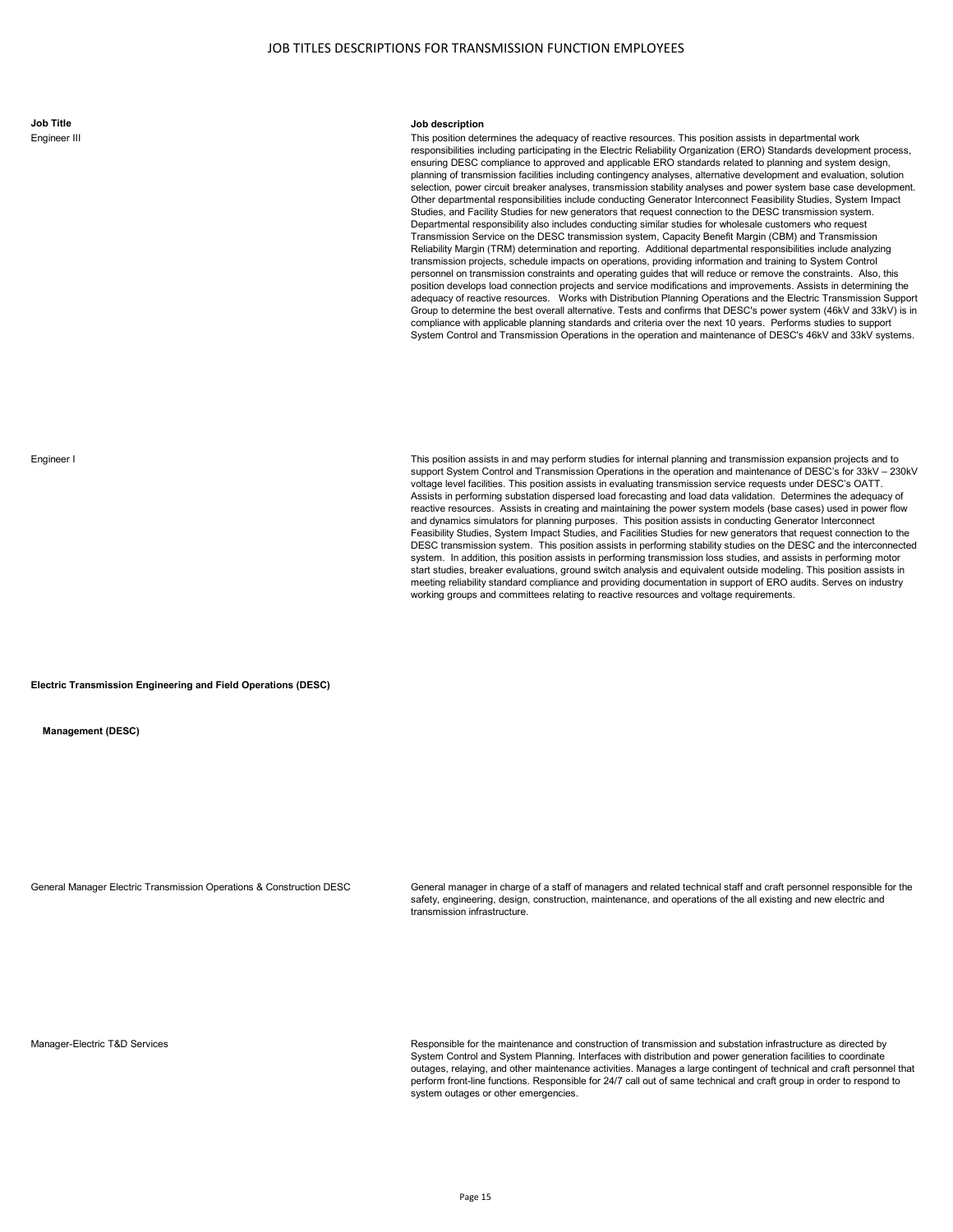**Job Title Job description**

This position determines the adequacy of reactive resources. This position assists in departmental work responsibilities including participating in the Electric Reliability Organization (ERO) Standards development process, ensuring DESC compliance to approved and applicable ERO standards related to planning and system design, planning of transmission facilities including contingency analyses, alternative development and evaluation, solution selection, power circuit breaker analyses, transmission stability analyses and power system base case development. Other departmental responsibilities include conducting Generator Interconnect Feasibility Studies, System Impact Studies, and Facility Studies for new generators that request connection to the DESC transmission system. Departmental responsibility also includes conducting similar studies for wholesale customers who request Transmission Service on the DESC transmission system, Capacity Benefit Margin (CBM) and Transmission Reliability Margin (TRM) determination and reporting. Additional departmental responsibilities include analyzing transmission projects, schedule impacts on operations, providing information and training to System Control personnel on transmission constraints and operating guides that will reduce or remove the constraints. Also, this position develops load connection projects and service modifications and improvements. Assists in determining the adequacy of reactive resources. Works with Distribution Planning Operations and the Electric Transmission Support Group to determine the best overall alternative. Tests and confirms that DESC's power system (46kV and 33kV) is in compliance with applicable planning standards and criteria over the next 10 years. Performs studies to support System Control and Transmission Operations in the operation and maintenance of DESC's 46kV and 33kV systems.

Engineer I **This position assists in and may perform studies for internal planning and transmission expansion projects and to contact the system of the system of the system of the system of the system of the system of the** support System Control and Transmission Operations in the operation and maintenance of DESC's for 33kV – 230kV voltage level facilities. This position assists in evaluating transmission service requests under DESC's OATT. Assists in performing substation dispersed load forecasting and load data validation. Determines the adequacy of reactive resources. Assists in creating and maintaining the power system models (base cases) used in power flow and dynamics simulators for planning purposes. This position assists in conducting Generator Interconnect Feasibility Studies, System Impact Studies, and Facilities Studies for new generators that request connection to the DESC transmission system. This position assists in performing stability studies on the DESC and the interconnected system. In addition, this position assists in performing transmission loss studies, and assists in performing motor start studies, breaker evaluations, ground switch analysis and equivalent outside modeling. This position assists in meeting reliability standard compliance and providing documentation in support of ERO audits. Serves on industry working groups and committees relating to reactive resources and voltage requirements.

**Electric Transmission Engineering and Field Operations (DESC)**

**Management (DESC)**

General Manager Electric Transmission Operations & Construction DESC General manager in charge of a staff of managers and related technical staff and craft personnel responsible for the safety, engineering, design, construction, maintenance, and operations of the all existing and new electric and transmission infrastructure.

Manager-Electric T&D Services **Responsible for the maintenance and construction of transmission and substation infrastructure as directed by** Responsible for the maintenance and construction of transmission and substation System Control and System Planning. Interfaces with distribution and power generation facilities to coordinate outages, relaying, and other maintenance activities. Manages a large contingent of technical and craft personnel that perform front-line functions. Responsible for 24/7 call out of same technical and craft group in order to respond to system outages or other emergencies.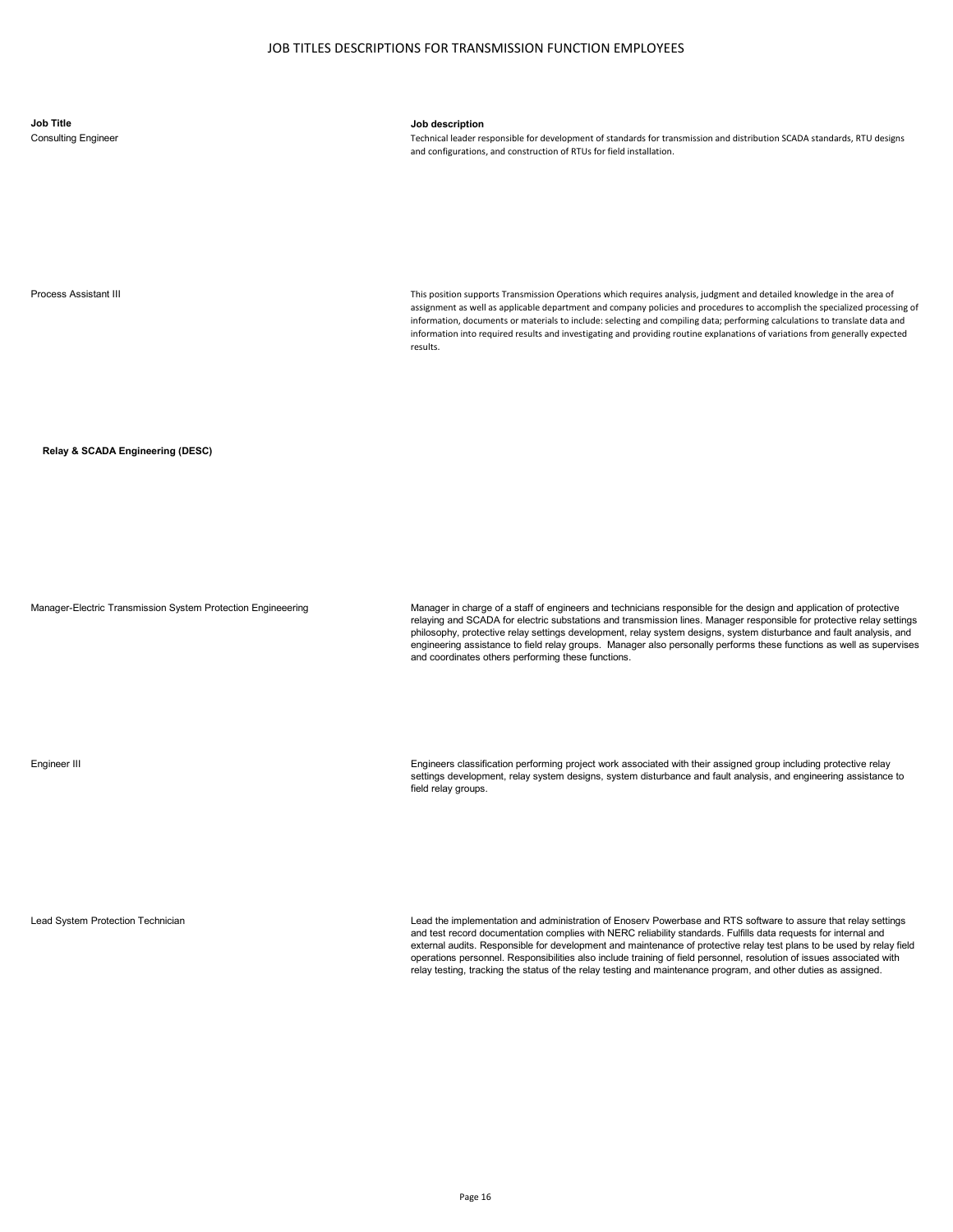# **Job Title Job description**

Consulting Engineer Technical leader responsible for development of standards for transmission and distribution SCADA standards, RTU designs and configurations, and construction of RTUs for field installation.

Process Assistant III **This position supports Transmission Operations which requires analysis, judgment and detailed knowledge in the area of** assignment as well as applicable department and company policies and procedures to accomplish the specialized processing of information, documents or materials to include: selecting and compiling data; performing calculations to translate data and information into required results and investigating and providing routine explanations of variations from generally expected results.

**Relay & SCADA Engineering (DESC)**

Manager-Electric Transmission System Protection Engineeering Manager in charge of a staff of engineers and technicians responsible for the design and application of protective relaying and SCADA for electric substations and transmission lines. Manager responsible for protective relay settings philosophy, protective relay settings development, relay system designs, system disturbance and fault analysis, and engineering assistance to field relay groups. Manager also personally performs these functions as well as supervises and coordinates others performing these functions.

Engineer III Engineers classification performing project work associated with their assigned group including protective relay settings development, relay system designs, system disturbance and fault analysis, and engineering assistance to field relay groups.

Lead System Protection Technician Lead the implementation and administration of Enoserv Powerbase and RTS software to assure that relay settings and test record documentation complies with NERC reliability standards. Fulfills data requests for internal and external audits. Responsible for development and maintenance of protective relay test plans to be used by relay field operations personnel. Responsibilities also include training of field personnel, resolution of issues associated with relay testing, tracking the status of the relay testing and maintenance program, and other duties as assigned.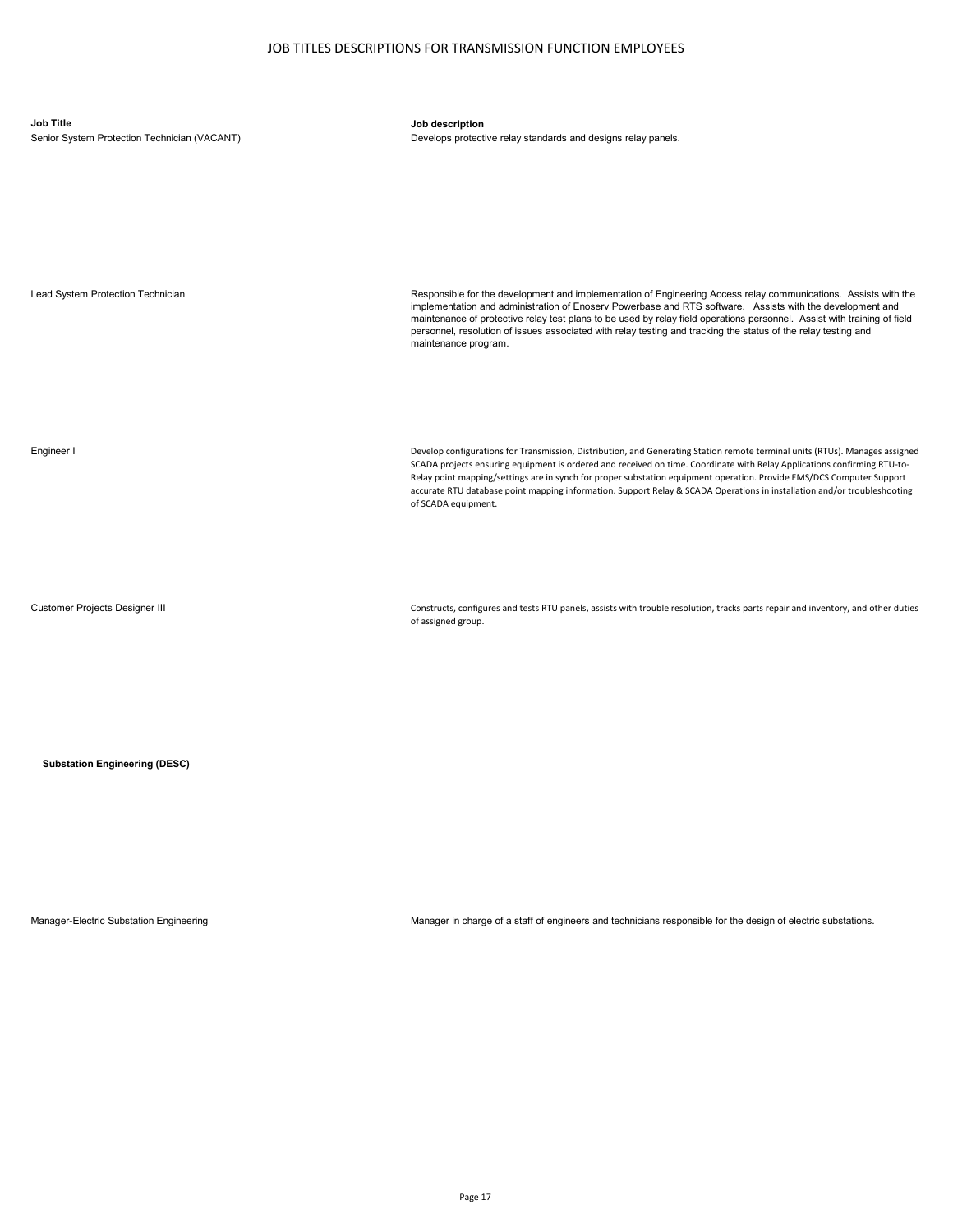| <b>Job Title</b><br>Senior System Protection Technician (VACANT) | Job description<br>Develops protective relay standards and designs relay panels.                                                                                                                                                                                                                                                                                                                                                                                                                                                     |
|------------------------------------------------------------------|--------------------------------------------------------------------------------------------------------------------------------------------------------------------------------------------------------------------------------------------------------------------------------------------------------------------------------------------------------------------------------------------------------------------------------------------------------------------------------------------------------------------------------------|
| Lead System Protection Technician                                | Responsible for the development and implementation of Engineering Access relay communications. Assists with the<br>implementation and administration of Enoserv Powerbase and RTS software. Assists with the development and<br>maintenance of protective relay test plans to be used by relay field operations personnel. Assist with training of field<br>personnel, resolution of issues associated with relay testing and tracking the status of the relay testing and<br>maintenance program.                                   |
| Engineer I                                                       | Develop configurations for Transmission, Distribution, and Generating Station remote terminal units (RTUs). Manages assigned<br>SCADA projects ensuring equipment is ordered and received on time. Coordinate with Relay Applications confirming RTU-to-<br>Relay point mapping/settings are in synch for proper substation equipment operation. Provide EMS/DCS Computer Support<br>accurate RTU database point mapping information. Support Relay & SCADA Operations in installation and/or troubleshooting<br>of SCADA equipment. |

Customer Projects Designer III **Constructs, configures and tests RTU** panels, assists with trouble resolution, tracks parts repair and inventory, and other duties of assigned group.

**Substation Engineering (DESC)**

Manager-Electric Substation Engineering Manager in charge of a staff of engineers and technicians responsible for the design of electric substations.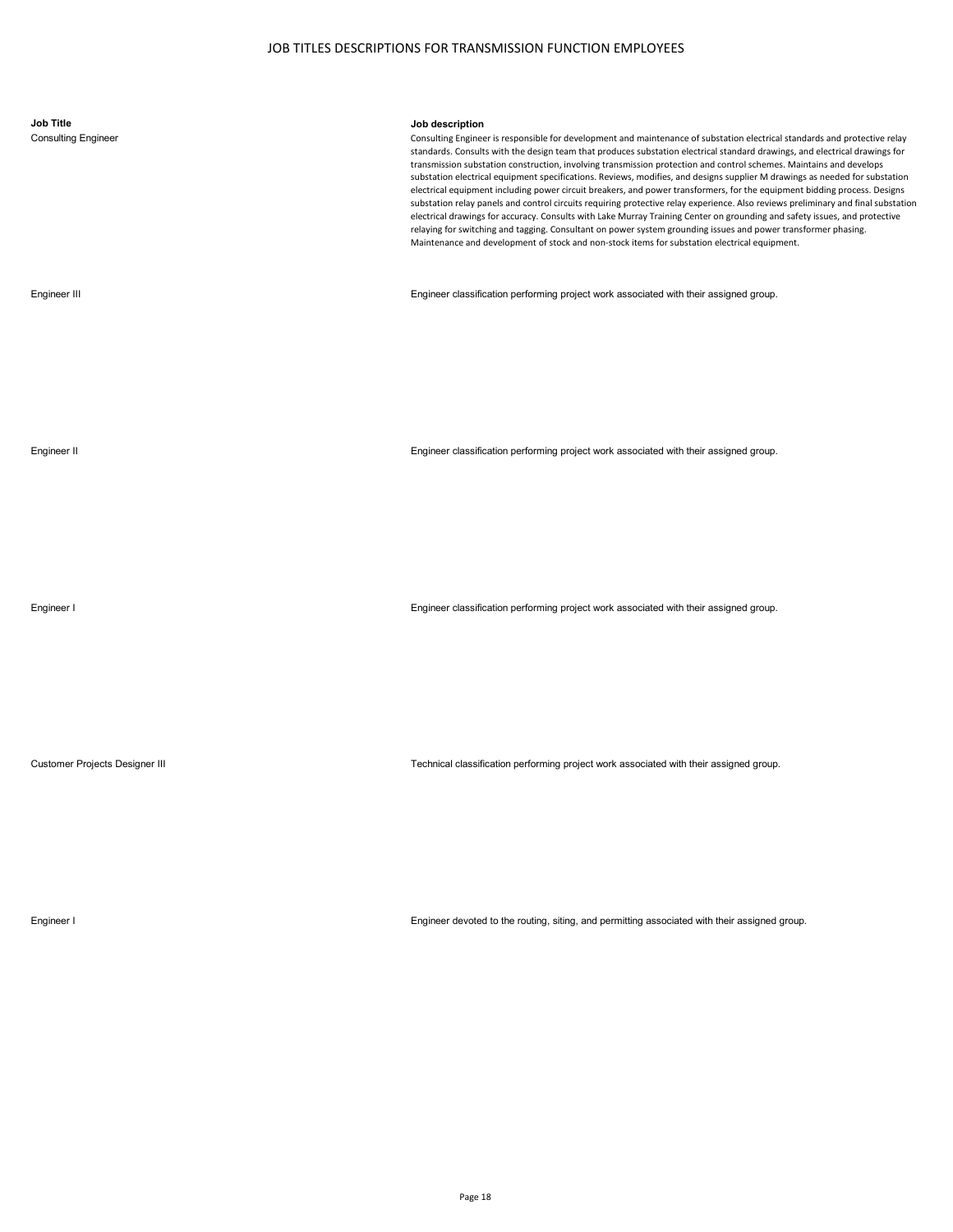| <b>Job Title</b><br><b>Consulting Engineer</b> | Job description<br>Consulting Engineer is responsible for development and maintenance of substation electrical standards and protective relay<br>standards. Consults with the design team that produces substation electrical standard drawings, and electrical drawings for<br>transmission substation construction, involving transmission protection and control schemes. Maintains and develops<br>substation electrical equipment specifications. Reviews, modifies, and designs supplier M drawings as needed for substation<br>electrical equipment including power circuit breakers, and power transformers, for the equipment bidding process. Designs<br>substation relay panels and control circuits requiring protective relay experience. Also reviews preliminary and final substation<br>electrical drawings for accuracy. Consults with Lake Murray Training Center on grounding and safety issues, and protective<br>relaying for switching and tagging. Consultant on power system grounding issues and power transformer phasing.<br>Maintenance and development of stock and non-stock items for substation electrical equipment. |
|------------------------------------------------|-------------------------------------------------------------------------------------------------------------------------------------------------------------------------------------------------------------------------------------------------------------------------------------------------------------------------------------------------------------------------------------------------------------------------------------------------------------------------------------------------------------------------------------------------------------------------------------------------------------------------------------------------------------------------------------------------------------------------------------------------------------------------------------------------------------------------------------------------------------------------------------------------------------------------------------------------------------------------------------------------------------------------------------------------------------------------------------------------------------------------------------------------------|
| Engineer III                                   | Engineer classification performing project work associated with their assigned group.                                                                                                                                                                                                                                                                                                                                                                                                                                                                                                                                                                                                                                                                                                                                                                                                                                                                                                                                                                                                                                                                 |
| Engineer II                                    | Engineer classification performing project work associated with their assigned group.                                                                                                                                                                                                                                                                                                                                                                                                                                                                                                                                                                                                                                                                                                                                                                                                                                                                                                                                                                                                                                                                 |
| Engineer I                                     | Engineer classification performing project work associated with their assigned group.                                                                                                                                                                                                                                                                                                                                                                                                                                                                                                                                                                                                                                                                                                                                                                                                                                                                                                                                                                                                                                                                 |
| Customer Projects Designer III                 | Technical classification performing project work associated with their assigned group.                                                                                                                                                                                                                                                                                                                                                                                                                                                                                                                                                                                                                                                                                                                                                                                                                                                                                                                                                                                                                                                                |

Engineer I Engineer devoted to the routing, siting, and permitting associated with their assigned group.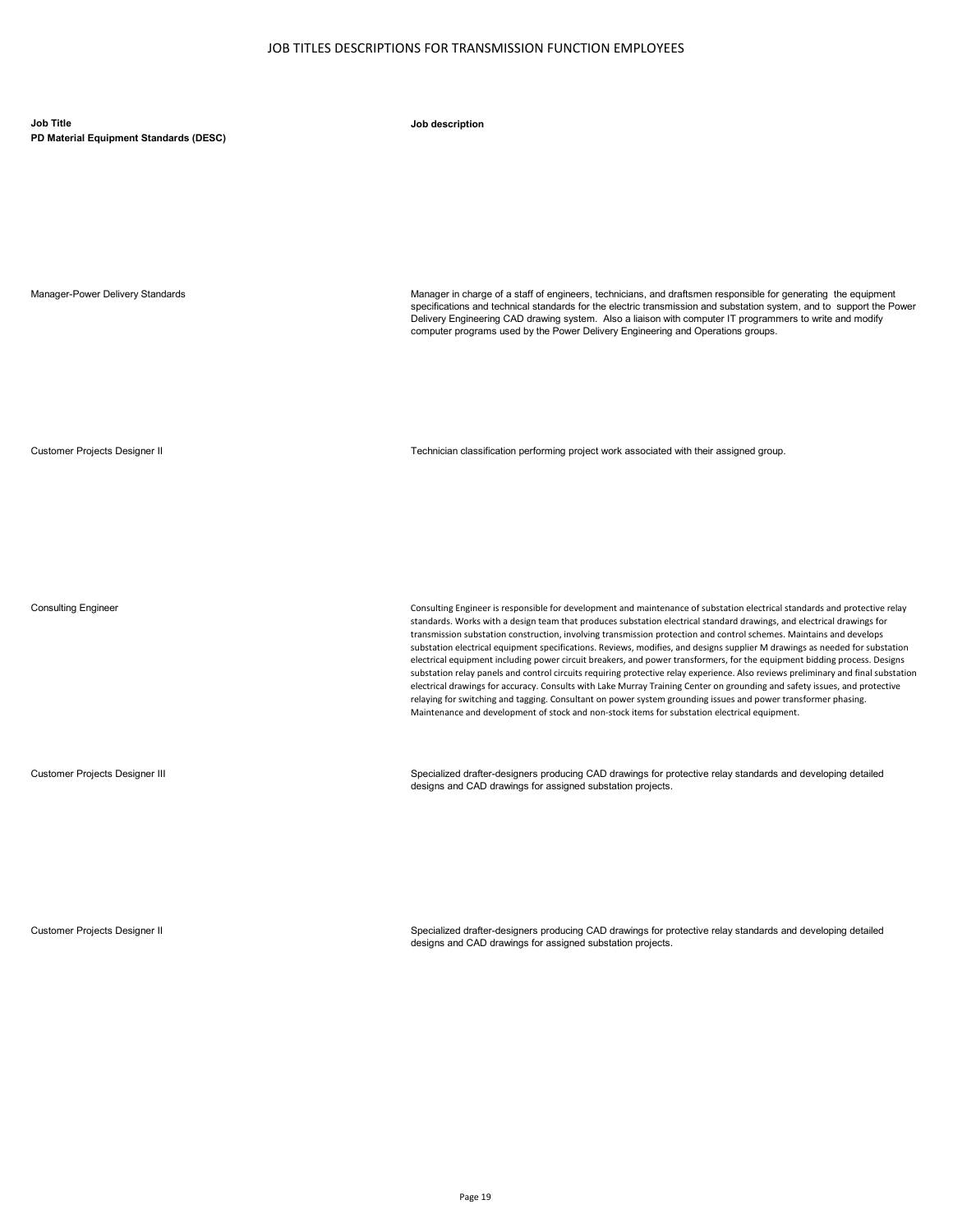| Job Title<br>PD Material Equipment Standards (DESC) | Job description                                                                                                                                                                                                                                                                                                                                                                                                                                                                                                                                                                                                                                                                                                                                                                                                                                                                                                                                                                                                                                                                                                               |
|-----------------------------------------------------|-------------------------------------------------------------------------------------------------------------------------------------------------------------------------------------------------------------------------------------------------------------------------------------------------------------------------------------------------------------------------------------------------------------------------------------------------------------------------------------------------------------------------------------------------------------------------------------------------------------------------------------------------------------------------------------------------------------------------------------------------------------------------------------------------------------------------------------------------------------------------------------------------------------------------------------------------------------------------------------------------------------------------------------------------------------------------------------------------------------------------------|
|                                                     |                                                                                                                                                                                                                                                                                                                                                                                                                                                                                                                                                                                                                                                                                                                                                                                                                                                                                                                                                                                                                                                                                                                               |
| Manager-Power Delivery Standards                    | Manager in charge of a staff of engineers, technicians, and draftsmen responsible for generating the equipment<br>specifications and technical standards for the electric transmission and substation system, and to support the Power<br>Delivery Engineering CAD drawing system. Also a liaison with computer IT programmers to write and modify<br>computer programs used by the Power Delivery Engineering and Operations groups.                                                                                                                                                                                                                                                                                                                                                                                                                                                                                                                                                                                                                                                                                         |
| <b>Customer Projects Designer II</b>                | Technician classification performing project work associated with their assigned group.                                                                                                                                                                                                                                                                                                                                                                                                                                                                                                                                                                                                                                                                                                                                                                                                                                                                                                                                                                                                                                       |
| <b>Consulting Engineer</b>                          | Consulting Engineer is responsible for development and maintenance of substation electrical standards and protective relay<br>standards. Works with a design team that produces substation electrical standard drawings, and electrical drawings for<br>transmission substation construction, involving transmission protection and control schemes. Maintains and develops<br>substation electrical equipment specifications. Reviews, modifies, and designs supplier M drawings as needed for substation<br>electrical equipment including power circuit breakers, and power transformers, for the equipment bidding process. Designs<br>substation relay panels and control circuits requiring protective relay experience. Also reviews preliminary and final substation<br>electrical drawings for accuracy. Consults with Lake Murray Training Center on grounding and safety issues, and protective<br>relaying for switching and tagging. Consultant on power system grounding issues and power transformer phasing.<br>Maintenance and development of stock and non-stock items for substation electrical equipment. |
| <b>Customer Projects Designer III</b>               | Specialized drafter-designers producing CAD drawings for protective relay standards and developing detailed<br>designs and CAD drawings for assigned substation projects.                                                                                                                                                                                                                                                                                                                                                                                                                                                                                                                                                                                                                                                                                                                                                                                                                                                                                                                                                     |

Customer Projects Designer II Specialized drafter-designers producing CAD drawings for protective relay standards and developing detailed designs and CAD drawings for assigned substation projects.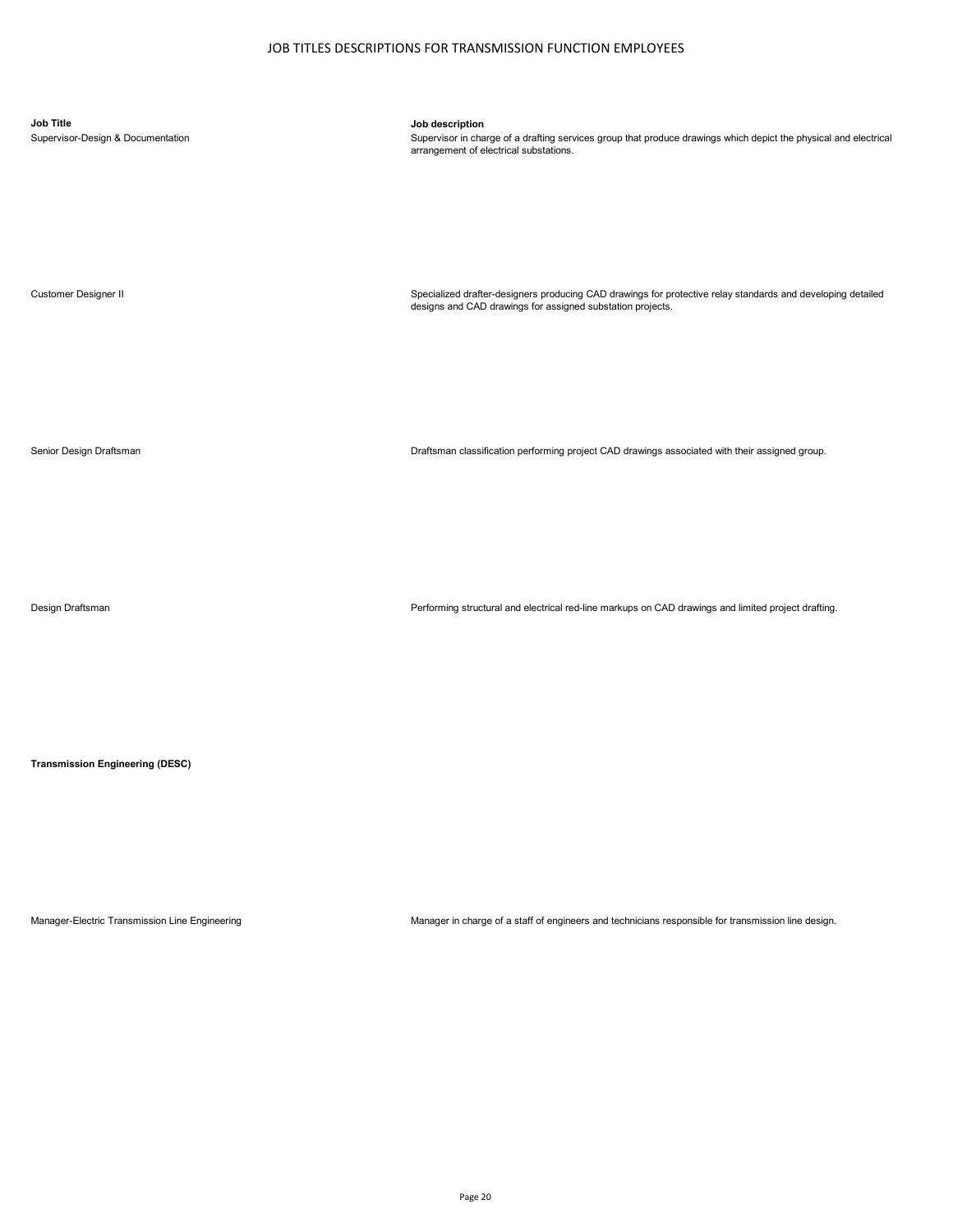**Job Title Job description**

Supervisor-Design & Documentation Supervisor in charge of a drafting services group that produce drawings which depict the physical and electrical substations.<br>arrangement of electrical substations.

Customer Designer II Specialized drafter-designers producing CAD drawings for protective relay standards and developing detailed designs and CAD drawings for assigned substation projects.

Senior Design Draftsman Draftsman classification performing project CAD drawings associated with their assigned group.

Design Draftsman Performing structural and electrical red-line markups on CAD drawings and limited project drafting.

**Transmission Engineering (DESC)**

Manager-Electric Transmission Line Engineering Manager in charge of a staff of engineers and technicians responsible for transmission line design.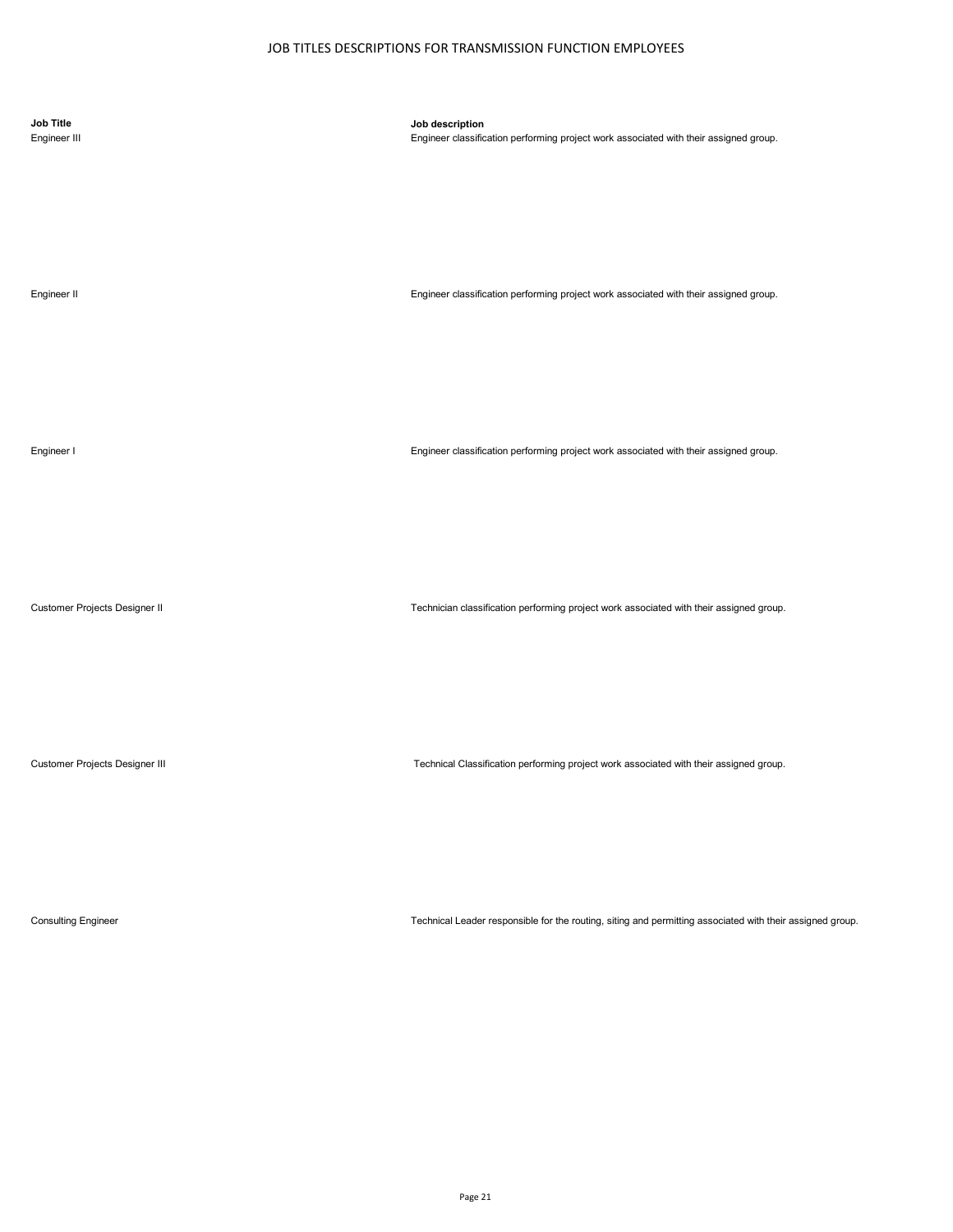| <b>Job Title</b><br>Engineer III | Job description<br>Engineer classification performing project work associated with their assigned group. |
|----------------------------------|----------------------------------------------------------------------------------------------------------|
| Engineer II                      | Engineer classification performing project work associated with their assigned group.                    |
| Engineer I                       | Engineer classification performing project work associated with their assigned group.                    |
| Customer Projects Designer II    | Technician classification performing project work associated with their assigned group.                  |
| Customer Projects Designer III   | Technical Classification performing project work associated with their assigned group.                   |

Consulting Engineer Technical Leader responsible for the routing, siting and permitting associated with their assigned group.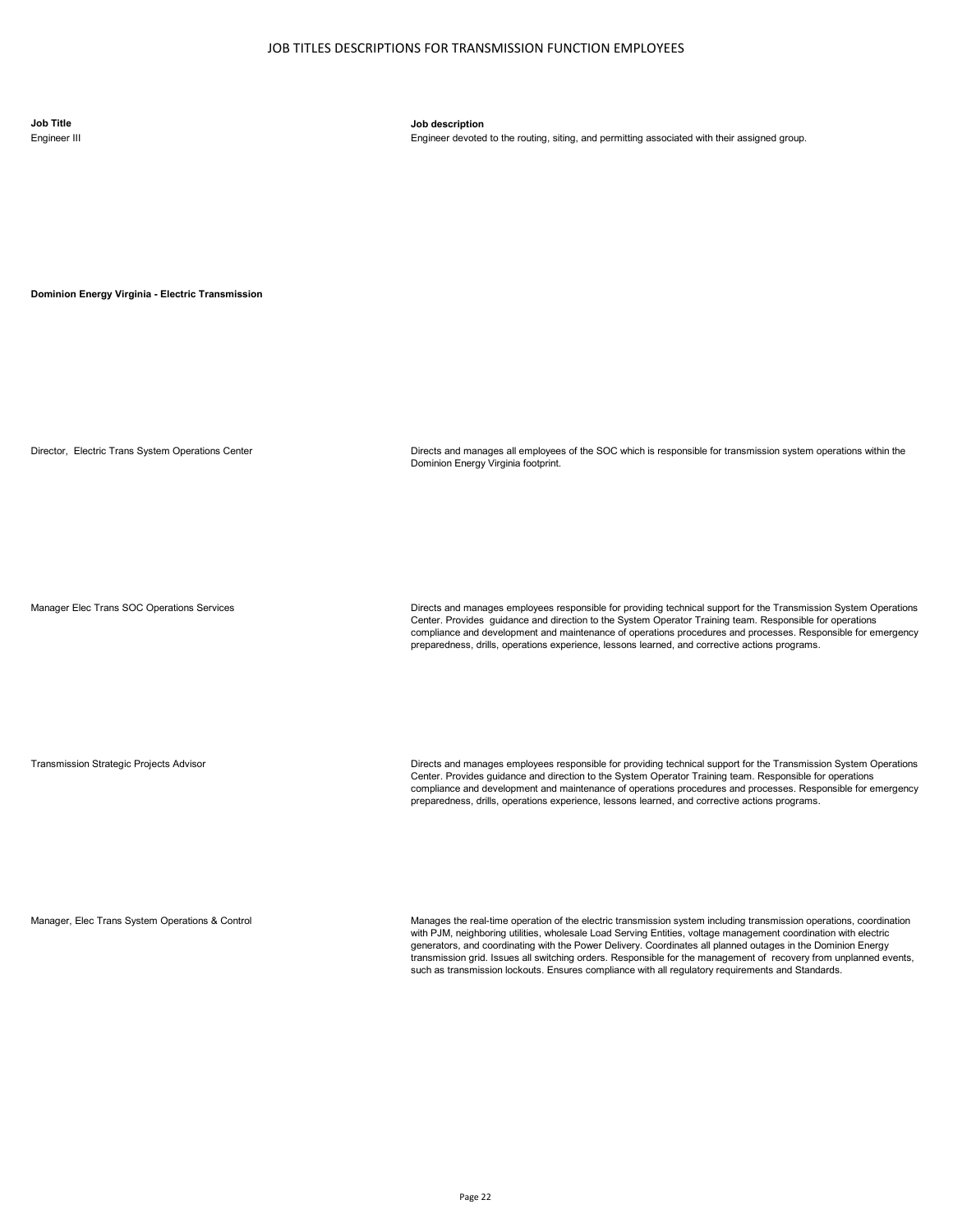**Job Title Job description**

Engineer devoted to the routing, siting, and permitting associated with their assigned group.

**Dominion Energy Virginia - Electric Transmission** 

Director, Electric Trans System Operations Center **Directs and manages all employees of the SOC** which is responsible for transmission system operations within the Dominion Energy Virginia footprint.

Manager Elec Trans SOC Operations Services Directs and manages employees responsible for providing technical support for the Transmission System Operations Center. Provides guidance and direction to the System Operator Training team. Responsible for operations compliance and development and maintenance of operations procedures and processes. Responsible for emergency preparedness, drills, operations experience, lessons learned, and corrective actions programs.

Transmission Strategic Projects Advisor Directs and manages employees responsible for providing technical support for the Transmission System Operations Center. Provides guidance and direction to the System Operator Training team. Responsible for operations compliance and development and maintenance of operations procedures and processes. Responsible for emergency preparedness, drills, operations experience, lessons learned, and corrective actions programs.

Manager, Elec Trans System Operations & Control excludion match Manages the real-time operation of the electric transmission system including transmission operations, coordination with PJM, neighboring utilities, wholesale Load Serving Entities, voltage management coordination with electric generators, and coordinating with the Power Delivery. Coordinates all planned outages in the Dominion Energy transmission grid. Issues all switching orders. Responsible for the management of recovery from unplanned events, such as transmission lockouts. Ensures compliance with all regulatory requirements and Standards.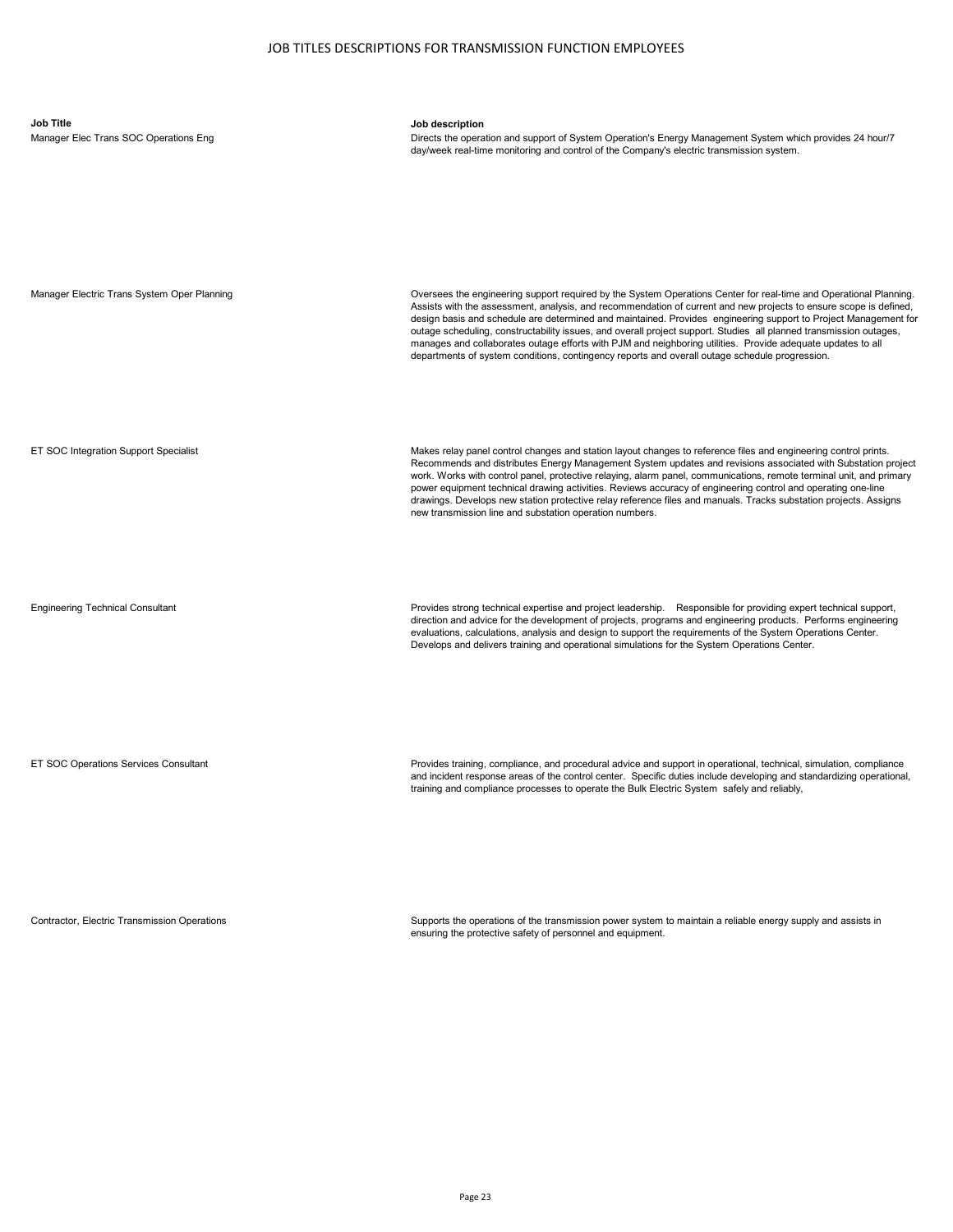| <b>Job Title</b><br>Manager Elec Trans SOC Operations Eng | Job description<br>Directs the operation and support of System Operation's Energy Management System which provides 24 hour/7<br>day/week real-time monitoring and control of the Company's electric transmission system.                                                                                                                                                                                                                                                                                                                                                                                                                                                                         |
|-----------------------------------------------------------|--------------------------------------------------------------------------------------------------------------------------------------------------------------------------------------------------------------------------------------------------------------------------------------------------------------------------------------------------------------------------------------------------------------------------------------------------------------------------------------------------------------------------------------------------------------------------------------------------------------------------------------------------------------------------------------------------|
| Manager Electric Trans System Oper Planning               | Oversees the engineering support required by the System Operations Center for real-time and Operational Planning.<br>Assists with the assessment, analysis, and recommendation of current and new projects to ensure scope is defined,<br>design basis and schedule are determined and maintained. Provides engineering support to Project Management for<br>outage scheduling, constructability issues, and overall project support. Studies all planned transmission outages,<br>manages and collaborates outage efforts with PJM and neighboring utilities. Provide adequate updates to all<br>departments of system conditions, contingency reports and overall outage schedule progression. |
| ET SOC Integration Support Specialist                     | Makes relay panel control changes and station layout changes to reference files and engineering control prints.<br>Recommends and distributes Energy Management System updates and revisions associated with Substation project<br>work. Works with control panel, protective relaying, alarm panel, communications, remote terminal unit, and primary<br>power equipment technical drawing activities. Reviews accuracy of engineering control and operating one-line<br>drawings. Develops new station protective relay reference files and manuals. Tracks substation projects. Assigns<br>new transmission line and substation operation numbers.                                            |
| <b>Engineering Technical Consultant</b>                   | Provides strong technical expertise and project leadership. Responsible for providing expert technical support,<br>direction and advice for the development of projects, programs and engineering products. Performs engineering<br>evaluations, calculations, analysis and design to support the requirements of the System Operations Center.<br>Develops and delivers training and operational simulations for the System Operations Center.                                                                                                                                                                                                                                                  |
| ET SOC Operations Services Consultant                     | Provides training, compliance, and procedural advice and support in operational, technical, simulation, compliance<br>and incident response areas of the control center. Specific duties include developing and standardizing operational,<br>training and compliance processes to operate the Bulk Electric System safely and reliably,                                                                                                                                                                                                                                                                                                                                                         |

Contractor, Electric Transmission Operations Supports the operations of the transmission power system to maintain a reliable energy supply and assists in ensuring the protective safety of personnel and equipment.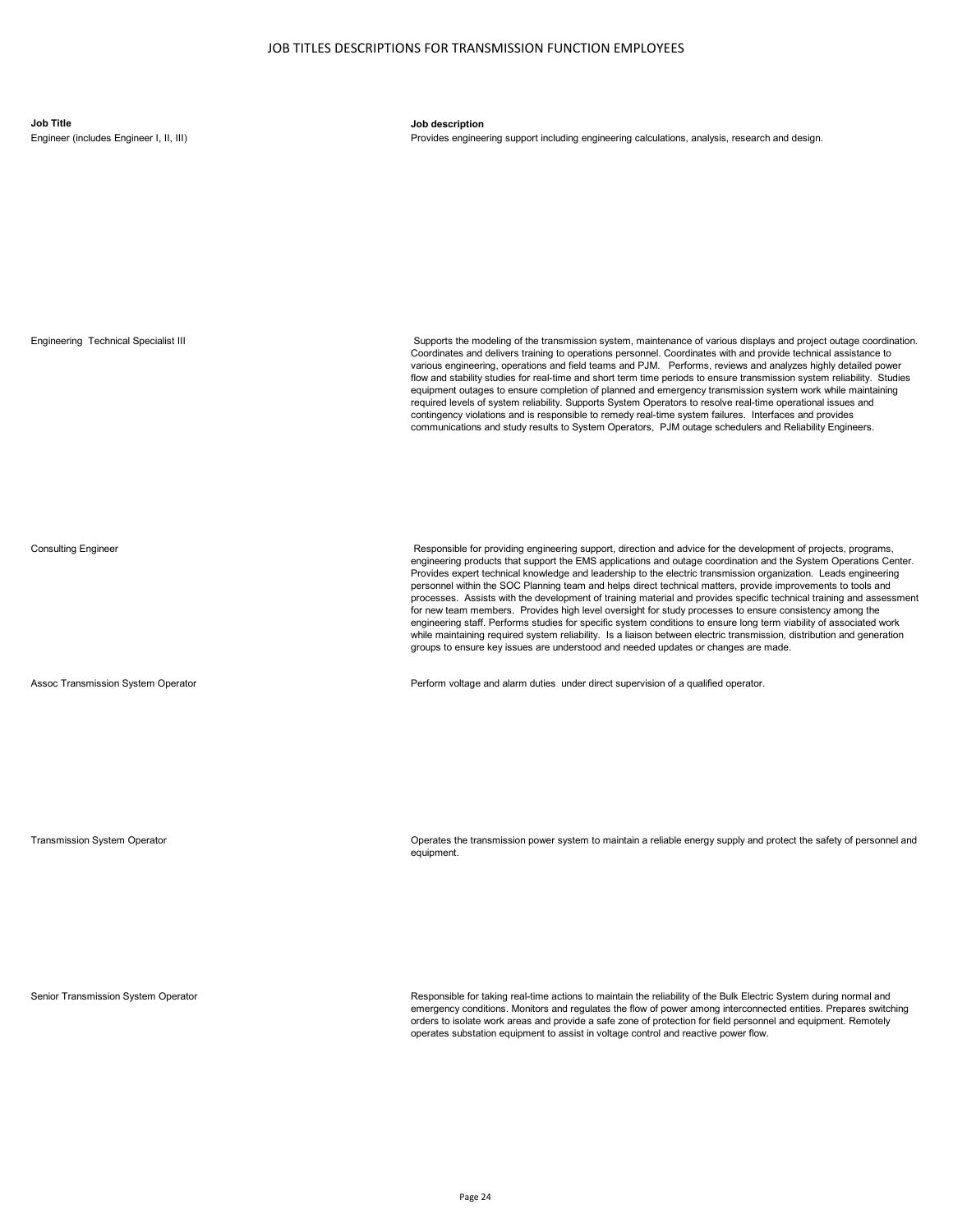**Job Title Job description**

Provides engineering support including engineering calculations, analysis, research and design.



Transmission System Operator Operates the transmission power system to maintain a reliable energy supply and protect the safety of personnel and equipment.

Senior Transmission System Operator **Responsible for taking real-time actions to maintain the reliability of the Bulk Electric System during normal and and** emergency conditions. Monitors and regulates the flow of power among interconnected entities. Prepares switching orders to isolate work areas and provide a safe zone of protection for field personnel and equipment. Remotely operates substation equipment to assist in voltage control and reactive power flow.